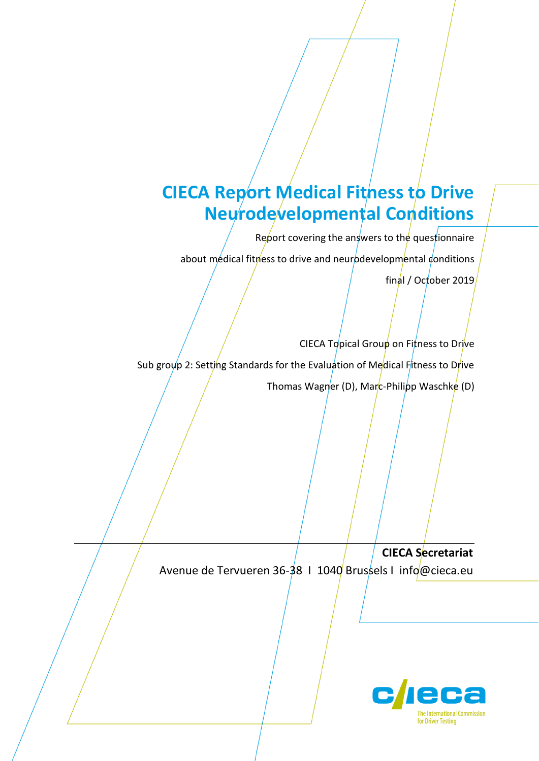# **CIECA Report Medical Fitness to Drive Neurodevelopmental Conditions**

Report covering the answers to the questionnaire

about medical fitmess to drive and neurodevelopmental conditions

final / October 2019

CIECA Topical Group on Fitness to Drive Sub group 2: Setting Standards for the Evaluation of Medical Fitness to Drive Thomas Wagner (D), Marc-Philipp Waschke (D)

**CIECA Secretariat** Avenue de Tervueren 36-38 | 1040 Brussels | info@cieca.eu

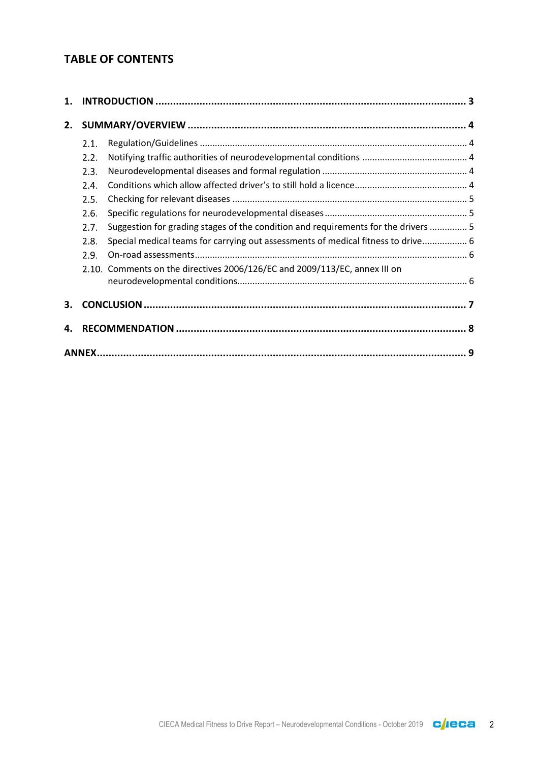# **TABLE OF CONTENTS**

| 1. |      |                                                                                    |  |  |  |
|----|------|------------------------------------------------------------------------------------|--|--|--|
| 2. |      |                                                                                    |  |  |  |
|    | 2.1. |                                                                                    |  |  |  |
|    | 2.2. |                                                                                    |  |  |  |
|    | 2.3. |                                                                                    |  |  |  |
|    | 2.4. |                                                                                    |  |  |  |
|    | 2.5. |                                                                                    |  |  |  |
|    | 2.6. |                                                                                    |  |  |  |
|    | 2.7. | Suggestion for grading stages of the condition and requirements for the drivers  5 |  |  |  |
|    | 2.8. | Special medical teams for carrying out assessments of medical fitness to drive 6   |  |  |  |
|    | 2.9. |                                                                                    |  |  |  |
|    |      | 2.10. Comments on the directives 2006/126/EC and 2009/113/EC, annex III on         |  |  |  |
|    |      |                                                                                    |  |  |  |
| З. |      |                                                                                    |  |  |  |
| 4. |      |                                                                                    |  |  |  |
|    |      |                                                                                    |  |  |  |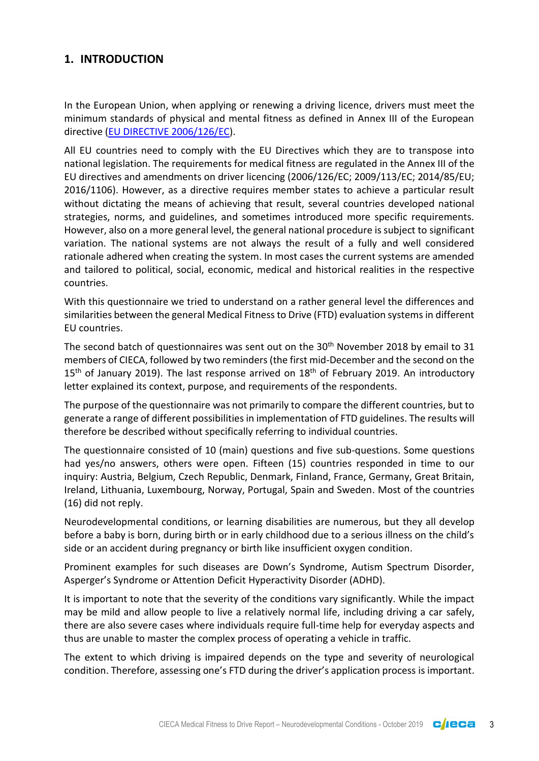## <span id="page-2-0"></span>**1. INTRODUCTION**

In the European Union, when applying or renewing a driving licence, drivers must meet the minimum standards of physical and mental fitness as defined in Annex III of the European directive [\(EU DIRECTIVE 2006/126/EC\)](https://eur-lex.europa.eu/legal-content/en/TXT/?uri=CELEX%3A32006L0126).

All EU countries need to comply with the EU Directives which they are to transpose into national legislation. The requirements for medical fitness are regulated in the Annex III of the EU directives and amendments on driver licencing (2006/126/EC; 2009/113/EC; 2014/85/EU; 2016/1106). However, as a directive requires member states to achieve a particular result without dictating the means of achieving that result, several countries developed national strategies, norms, and guidelines, and sometimes introduced more specific requirements. However, also on a more general level, the general national procedure is subject to significant variation. The national systems are not always the result of a fully and well considered rationale adhered when creating the system. In most cases the current systems are amended and tailored to political, social, economic, medical and historical realities in the respective countries.

With this questionnaire we tried to understand on a rather general level the differences and similarities between the general Medical Fitness to Drive (FTD) evaluation systems in different EU countries.

The second batch of questionnaires was sent out on the 30<sup>th</sup> November 2018 by email to 31 members of CIECA, followed by two reminders (the first mid-December and the second on the  $15<sup>th</sup>$  of January 2019). The last response arrived on  $18<sup>th</sup>$  of February 2019. An introductory letter explained its context, purpose, and requirements of the respondents.

The purpose of the questionnaire was not primarily to compare the different countries, but to generate a range of different possibilities in implementation of FTD guidelines. The results will therefore be described without specifically referring to individual countries.

The questionnaire consisted of 10 (main) questions and five sub-questions. Some questions had yes/no answers, others were open. Fifteen (15) countries responded in time to our inquiry: Austria, Belgium, Czech Republic, Denmark, Finland, France, Germany, Great Britain, Ireland, Lithuania, Luxembourg, Norway, Portugal, Spain and Sweden. Most of the countries (16) did not reply.

Neurodevelopmental conditions, or learning disabilities are numerous, but they all develop before a baby is born, during birth or in early childhood due to a serious illness on the child's side or an accident during pregnancy or birth like insufficient oxygen condition.

Prominent examples for such diseases are Down's Syndrome, Autism Spectrum Disorder, Asperger's Syndrome or Attention Deficit Hyperactivity Disorder (ADHD).

It is important to note that the severity of the conditions vary significantly. While the impact may be mild and allow people to live a relatively normal life, including driving a car safely, there are also severe cases where individuals require full-time help for everyday aspects and thus are unable to master the complex process of operating a vehicle in traffic.

The extent to which driving is impaired depends on the type and severity of neurological condition. Therefore, assessing one's FTD during the driver's application process is important.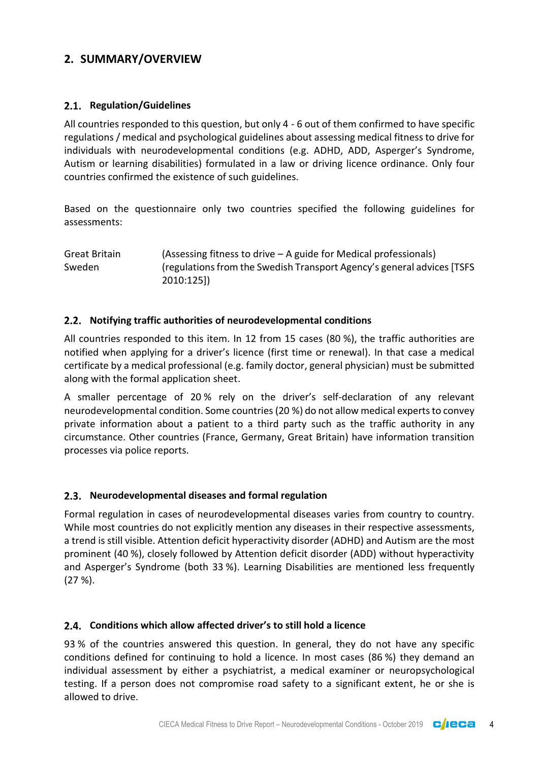# <span id="page-3-0"></span>**2. SUMMARY/OVERVIEW**

## <span id="page-3-1"></span>2.1. Regulation/Guidelines

All countries responded to this question, but only 4 - 6 out of them confirmed to have specific regulations / medical and psychological guidelines about assessing medical fitness to drive for individuals with neurodevelopmental conditions (e.g. ADHD, ADD, Asperger's Syndrome, Autism or learning disabilities) formulated in a law or driving licence ordinance. Only four countries confirmed the existence of such guidelines.

Based on the questionnaire only two countries specified the following guidelines for assessments:

Great Britain (Assessing fitness to drive – A guide for Medical professionals) Sweden (regulations from the Swedish Transport Agency's general advices [TSFS 2010:125])

## <span id="page-3-2"></span>**Notifying traffic authorities of neurodevelopmental conditions**

All countries responded to this item. In 12 from 15 cases (80 %), the traffic authorities are notified when applying for a driver's licence (first time or renewal). In that case a medical certificate by a medical professional (e.g. family doctor, general physician) must be submitted along with the formal application sheet.

A smaller percentage of 20 % rely on the driver's self-declaration of any relevant neurodevelopmental condition. Some countries (20 %) do not allow medical experts to convey private information about a patient to a third party such as the traffic authority in any circumstance. Other countries (France, Germany, Great Britain) have information transition processes via police reports.

#### <span id="page-3-3"></span>**Neurodevelopmental diseases and formal regulation**

Formal regulation in cases of neurodevelopmental diseases varies from country to country. While most countries do not explicitly mention any diseases in their respective assessments, a trend is still visible. Attention deficit hyperactivity disorder (ADHD) and Autism are the most prominent (40 %), closely followed by Attention deficit disorder (ADD) without hyperactivity and Asperger's Syndrome (both 33 %). Learning Disabilities are mentioned less frequently (27 %).

#### <span id="page-3-4"></span>**Conditions which allow affected driver's to still hold a licence**

93 % of the countries answered this question. In general, they do not have any specific conditions defined for continuing to hold a licence. In most cases (86 %) they demand an individual assessment by either a psychiatrist, a medical examiner or neuropsychological testing. If a person does not compromise road safety to a significant extent, he or she is allowed to drive.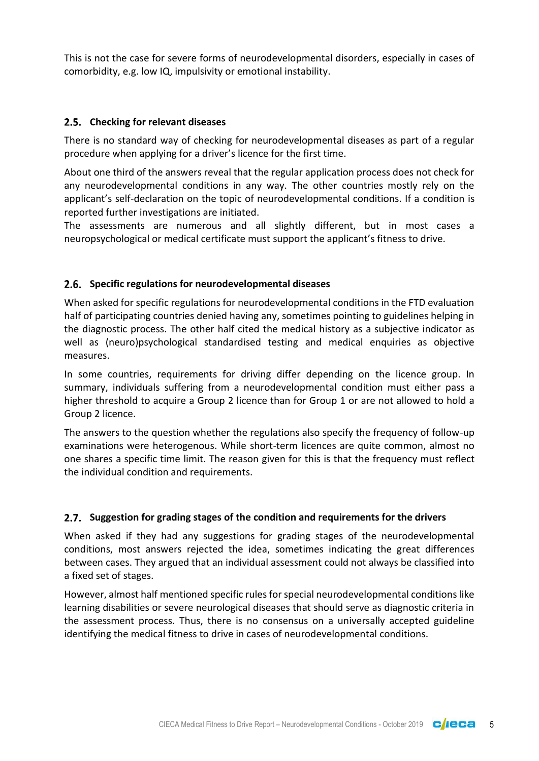This is not the case for severe forms of neurodevelopmental disorders, especially in cases of comorbidity, e.g. low IQ, impulsivity or emotional instability.

#### <span id="page-4-0"></span>**Checking for relevant diseases**

There is no standard way of checking for neurodevelopmental diseases as part of a regular procedure when applying for a driver's licence for the first time.

About one third of the answers reveal that the regular application process does not check for any neurodevelopmental conditions in any way. The other countries mostly rely on the applicant's self-declaration on the topic of neurodevelopmental conditions. If a condition is reported further investigations are initiated.

The assessments are numerous and all slightly different, but in most cases a neuropsychological or medical certificate must support the applicant's fitness to drive.

#### <span id="page-4-1"></span>**Specific regulations for neurodevelopmental diseases**

When asked for specific regulations for neurodevelopmental conditions in the FTD evaluation half of participating countries denied having any, sometimes pointing to guidelines helping in the diagnostic process. The other half cited the medical history as a subjective indicator as well as (neuro)psychological standardised testing and medical enquiries as objective measures.

In some countries, requirements for driving differ depending on the licence group. In summary, individuals suffering from a neurodevelopmental condition must either pass a higher threshold to acquire a Group 2 licence than for Group 1 or are not allowed to hold a Group 2 licence.

The answers to the question whether the regulations also specify the frequency of follow-up examinations were heterogenous. While short-term licences are quite common, almost no one shares a specific time limit. The reason given for this is that the frequency must reflect the individual condition and requirements.

#### <span id="page-4-2"></span>**Suggestion for grading stages of the condition and requirements for the drivers**

When asked if they had any suggestions for grading stages of the neurodevelopmental conditions, most answers rejected the idea, sometimes indicating the great differences between cases. They argued that an individual assessment could not always be classified into a fixed set of stages.

However, almost half mentioned specific rules for special neurodevelopmental conditions like learning disabilities or severe neurological diseases that should serve as diagnostic criteria in the assessment process. Thus, there is no consensus on a universally accepted guideline identifying the medical fitness to drive in cases of neurodevelopmental conditions.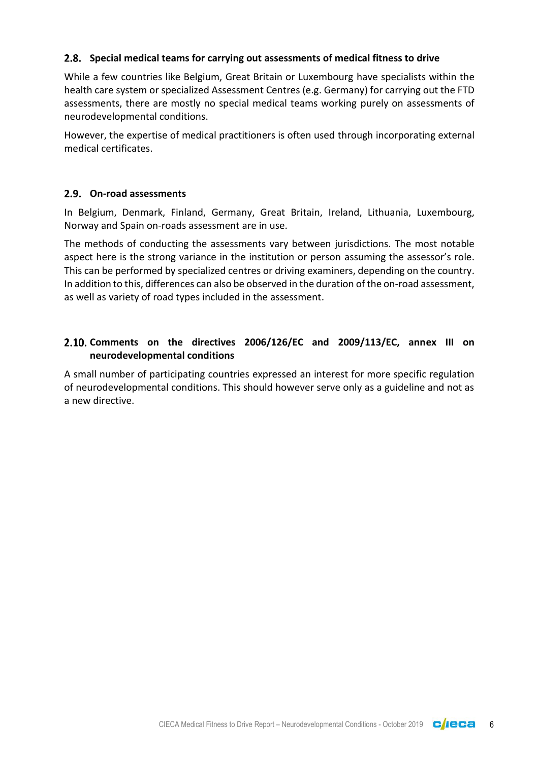#### <span id="page-5-0"></span>**Special medical teams for carrying out assessments of medical fitness to drive**

While a few countries like Belgium, Great Britain or Luxembourg have specialists within the health care system or specialized Assessment Centres (e.g. Germany) for carrying out the FTD assessments, there are mostly no special medical teams working purely on assessments of neurodevelopmental conditions.

However, the expertise of medical practitioners is often used through incorporating external medical certificates.

#### <span id="page-5-1"></span>**On-road assessments**

In Belgium, Denmark, Finland, Germany, Great Britain, Ireland, Lithuania, Luxembourg, Norway and Spain on-roads assessment are in use.

The methods of conducting the assessments vary between jurisdictions. The most notable aspect here is the strong variance in the institution or person assuming the assessor's role. This can be performed by specialized centres or driving examiners, depending on the country. In addition to this, differences can also be observed in the duration of the on-road assessment, as well as variety of road types included in the assessment.

## <span id="page-5-2"></span>**Comments on the directives 2006/126/EC and 2009/113/EC, annex III on neurodevelopmental conditions**

A small number of participating countries expressed an interest for more specific regulation of neurodevelopmental conditions. This should however serve only as a guideline and not as a new directive.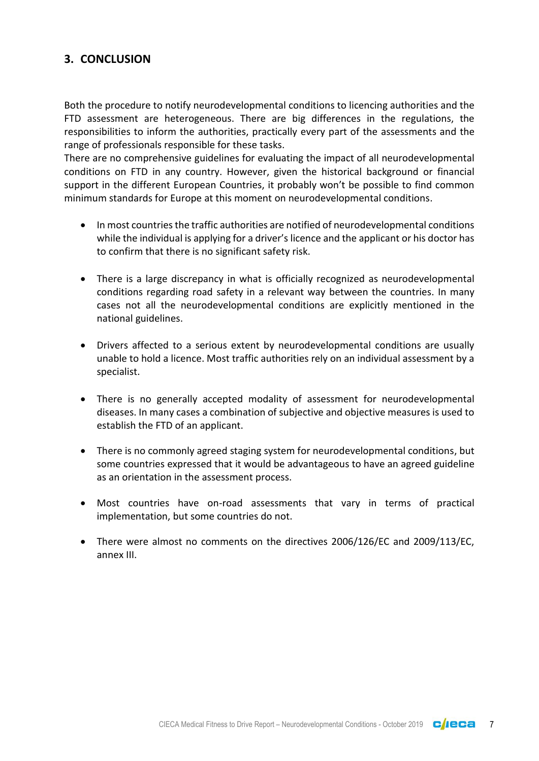## <span id="page-6-0"></span>**3. CONCLUSION**

Both the procedure to notify neurodevelopmental conditions to licencing authorities and the FTD assessment are heterogeneous. There are big differences in the regulations, the responsibilities to inform the authorities, practically every part of the assessments and the range of professionals responsible for these tasks.

There are no comprehensive guidelines for evaluating the impact of all neurodevelopmental conditions on FTD in any country. However, given the historical background or financial support in the different European Countries, it probably won't be possible to find common minimum standards for Europe at this moment on neurodevelopmental conditions.

- In most countries the traffic authorities are notified of neurodevelopmental conditions while the individual is applying for a driver's licence and the applicant or his doctor has to confirm that there is no significant safety risk.
- There is a large discrepancy in what is officially recognized as neurodevelopmental conditions regarding road safety in a relevant way between the countries. In many cases not all the neurodevelopmental conditions are explicitly mentioned in the national guidelines.
- Drivers affected to a serious extent by neurodevelopmental conditions are usually unable to hold a licence. Most traffic authorities rely on an individual assessment by a specialist.
- There is no generally accepted modality of assessment for neurodevelopmental diseases. In many cases a combination of subjective and objective measures is used to establish the FTD of an applicant.
- There is no commonly agreed staging system for neurodevelopmental conditions, but some countries expressed that it would be advantageous to have an agreed guideline as an orientation in the assessment process.
- Most countries have on-road assessments that vary in terms of practical implementation, but some countries do not.
- There were almost no comments on the directives 2006/126/EC and 2009/113/EC, annex III.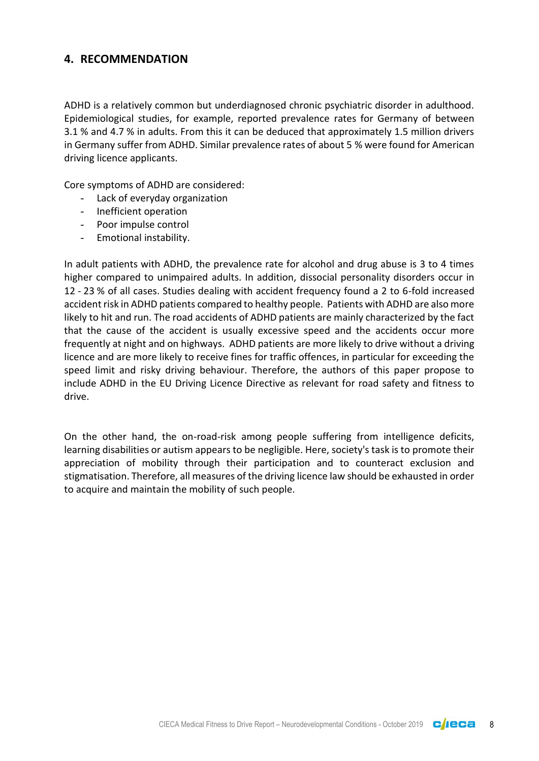## <span id="page-7-0"></span>**4. RECOMMENDATION**

ADHD is a relatively common but underdiagnosed chronic psychiatric disorder in adulthood. Epidemiological studies, for example, reported prevalence rates for Germany of between 3.1 % and 4.7 % in adults. From this it can be deduced that approximately 1.5 million drivers in Germany suffer from ADHD. Similar prevalence rates of about 5 % were found for American driving licence applicants.

Core symptoms of ADHD are considered:

- Lack of everyday organization
- Inefficient operation
- Poor impulse control
- Emotional instability.

In adult patients with ADHD, the prevalence rate for alcohol and drug abuse is 3 to 4 times higher compared to unimpaired adults. In addition, dissocial personality disorders occur in 12 - 23 % of all cases. Studies dealing with accident frequency found a 2 to 6-fold increased accident risk in ADHD patients compared to healthy people. Patients with ADHD are also more likely to hit and run. The road accidents of ADHD patients are mainly characterized by the fact that the cause of the accident is usually excessive speed and the accidents occur more frequently at night and on highways. ADHD patients are more likely to drive without a driving licence and are more likely to receive fines for traffic offences, in particular for exceeding the speed limit and risky driving behaviour. Therefore, the authors of this paper propose to include ADHD in the EU Driving Licence Directive as relevant for road safety and fitness to drive.

On the other hand, the on-road-risk among people suffering from intelligence deficits, learning disabilities or autism appears to be negligible. Here, society's task is to promote their appreciation of mobility through their participation and to counteract exclusion and stigmatisation. Therefore, all measures of the driving licence law should be exhausted in order to acquire and maintain the mobility of such people.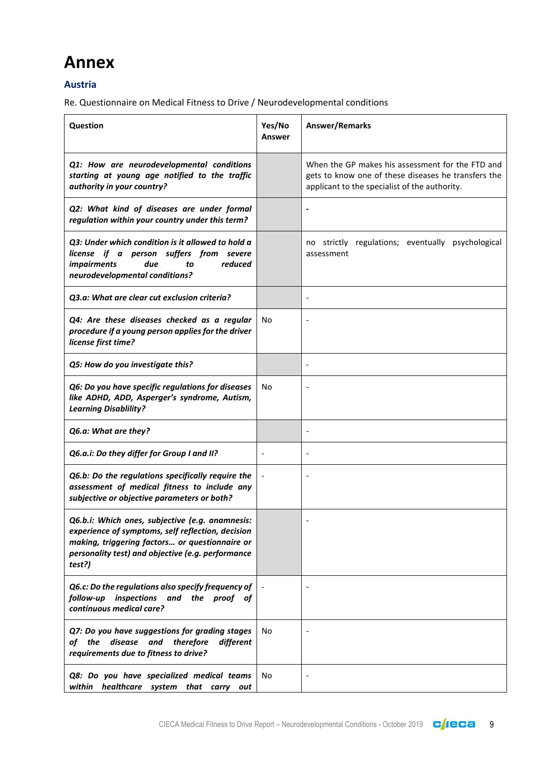# <span id="page-8-0"></span>**Annex**

#### **Austria**

| Question                                                                                                                                                                                                              | Yes/No<br>Answer | Answer/Remarks                                                                                                                                           |
|-----------------------------------------------------------------------------------------------------------------------------------------------------------------------------------------------------------------------|------------------|----------------------------------------------------------------------------------------------------------------------------------------------------------|
| Q1: How are neurodevelopmental conditions<br>starting at young age notified to the traffic<br>authority in your country?                                                                                              |                  | When the GP makes his assessment for the FTD and<br>gets to know one of these diseases he transfers the<br>applicant to the specialist of the authority. |
| Q2: What kind of diseases are under formal<br>regulation within your country under this term?                                                                                                                         |                  |                                                                                                                                                          |
| Q3: Under which condition is it allowed to hold a<br>license if a person suffers from severe<br>reduced<br><i>impairments</i><br>due<br>to<br>neurodevelopmental conditions?                                          |                  | no strictly regulations; eventually psychological<br>assessment                                                                                          |
| Q3.a: What are clear cut exclusion criteria?                                                                                                                                                                          |                  | $\overline{\phantom{a}}$                                                                                                                                 |
| Q4: Are these diseases checked as a regular<br>procedure if a young person applies for the driver<br>license first time?                                                                                              | No               |                                                                                                                                                          |
| Q5: How do you investigate this?                                                                                                                                                                                      |                  | $\overline{\phantom{a}}$                                                                                                                                 |
| Q6: Do you have specific regulations for diseases<br>like ADHD, ADD, Asperger's syndrome, Autism,<br><b>Learning Disablility?</b>                                                                                     | No               |                                                                                                                                                          |
| Q6.a: What are they?                                                                                                                                                                                                  |                  |                                                                                                                                                          |
| Q6.a.i: Do they differ for Group I and II?                                                                                                                                                                            |                  |                                                                                                                                                          |
| Q6.b: Do the regulations specifically require the<br>assessment of medical fitness to include any<br>subjective or objective parameters or both?                                                                      |                  |                                                                                                                                                          |
| Q6.b.i: Which ones, subjective (e.g. anamnesis:<br>experience of symptoms, self reflection, decision<br>making, triggering factors or questionnaire or<br>personality test) and objective (e.g. performance<br>test?) |                  |                                                                                                                                                          |
| Q6.c: Do the regulations also specify frequency of<br>inspections and the proof of<br>follow-up<br>continuous medical care?                                                                                           |                  |                                                                                                                                                          |
| Q7: Do you have suggestions for grading stages<br>disease<br>of the<br>and<br>therefore<br>different<br>requirements due to fitness to drive?                                                                         | No               |                                                                                                                                                          |
| Q8: Do you have specialized medical teams<br>within healthcare system that carry out                                                                                                                                  | No               |                                                                                                                                                          |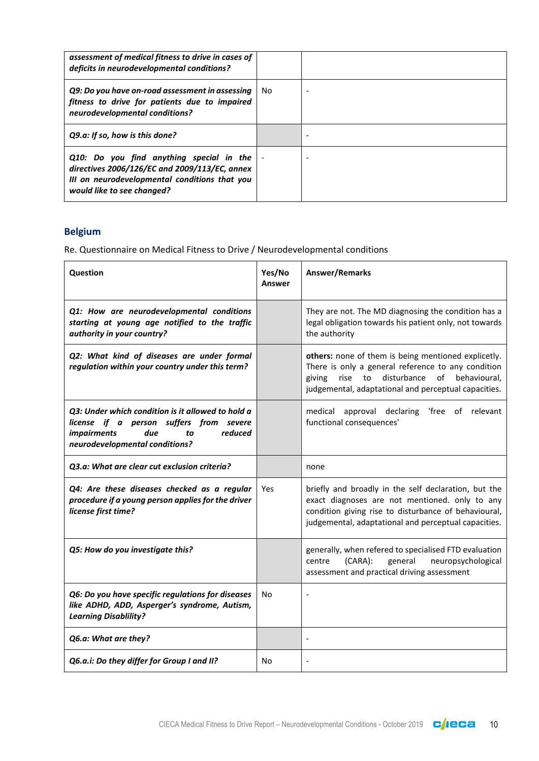| assessment of medical fitness to drive in cases of<br>deficits in neurodevelopmental conditions?                                                                         |     |  |
|--------------------------------------------------------------------------------------------------------------------------------------------------------------------------|-----|--|
| Q9: Do you have on-road assessment in assessing<br>fitness to drive for patients due to impaired<br>neurodevelopmental conditions?                                       | No. |  |
| Q9.a: If so, how is this done?                                                                                                                                           |     |  |
| Q10: Do you find anything special in the<br>directives 2006/126/EC and 2009/113/EC, annex<br>III on neurodevelopmental conditions that you<br>would like to see changed? |     |  |

## **Belgium**

| Question                                                                                                                                                                     | Yes/No<br><b>Answer</b> | <b>Answer/Remarks</b>                                                                                                                                                                                                    |
|------------------------------------------------------------------------------------------------------------------------------------------------------------------------------|-------------------------|--------------------------------------------------------------------------------------------------------------------------------------------------------------------------------------------------------------------------|
| Q1: How are neurodevelopmental conditions<br>starting at young age notified to the traffic<br>authority in your country?                                                     |                         | They are not. The MD diagnosing the condition has a<br>legal obligation towards his patient only, not towards<br>the authority                                                                                           |
| Q2: What kind of diseases are under formal<br>regulation within your country under this term?                                                                                |                         | others: none of them is being mentioned explicetly.<br>There is only a general reference to any condition<br>disturbance<br>of behavioural,<br>rise to<br>giving<br>judgemental, adaptational and perceptual capacities. |
| Q3: Under which condition is it allowed to hold a<br>license if a person suffers from severe<br>reduced<br><i>impairments</i><br>due<br>to<br>neurodevelopmental conditions? |                         | medical approval declaring<br>'free of relevant<br>functional consequences'                                                                                                                                              |
| Q3.a: What are clear cut exclusion criteria?                                                                                                                                 |                         | none                                                                                                                                                                                                                     |
| Q4: Are these diseases checked as a regular<br>procedure if a young person applies for the driver<br>license first time?                                                     | <b>Yes</b>              | briefly and broadly in the self declaration, but the<br>exact diagnoses are not mentioned. only to any<br>condition giving rise to disturbance of behavioural,<br>judgemental, adaptational and perceptual capacities.   |
| Q5: How do you investigate this?                                                                                                                                             |                         | generally, when refered to specialised FTD evaluation<br>general<br>(CARA):<br>neuropsychological<br>centre<br>assessment and practical driving assessment                                                               |
| Q6: Do you have specific regulations for diseases<br>like ADHD, ADD, Asperger's syndrome, Autism,<br><b>Learning Disablility?</b>                                            | N <sub>o</sub>          |                                                                                                                                                                                                                          |
| Q6.a: What are they?                                                                                                                                                         |                         |                                                                                                                                                                                                                          |
| Q6.a.i: Do they differ for Group I and II?                                                                                                                                   | No                      |                                                                                                                                                                                                                          |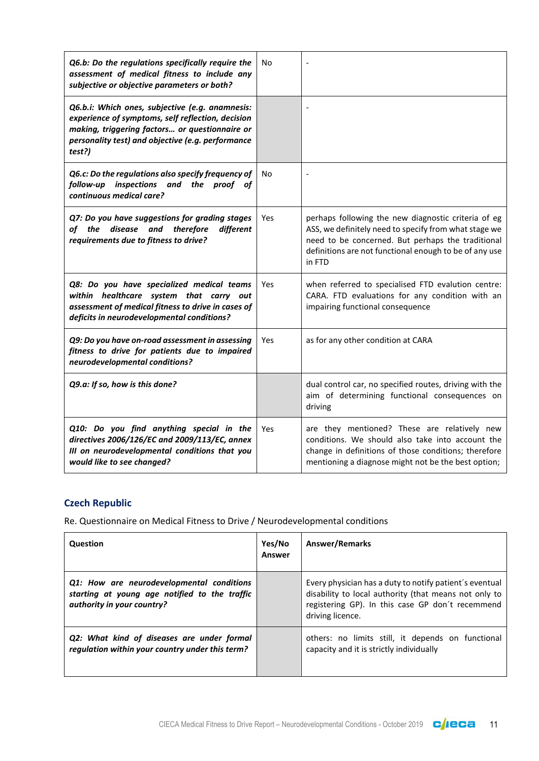| Q6.b: Do the regulations specifically require the<br>assessment of medical fitness to include any<br>subjective or objective parameters or both?                                                                      | No         |                                                                                                                                                                                                                                       |
|-----------------------------------------------------------------------------------------------------------------------------------------------------------------------------------------------------------------------|------------|---------------------------------------------------------------------------------------------------------------------------------------------------------------------------------------------------------------------------------------|
| Q6.b.i: Which ones, subjective (e.g. anamnesis:<br>experience of symptoms, self reflection, decision<br>making, triggering factors or questionnaire or<br>personality test) and objective (e.g. performance<br>test?) |            |                                                                                                                                                                                                                                       |
| Q6.c: Do the regulations also specify frequency of<br>follow-up inspections and the proof of<br>continuous medical care?                                                                                              | No         |                                                                                                                                                                                                                                       |
| Q7: Do you have suggestions for grading stages<br>of the<br>disease<br>and<br>therefore<br>different<br>requirements due to fitness to drive?                                                                         | Yes        | perhaps following the new diagnostic criteria of eg<br>ASS, we definitely need to specify from what stage we<br>need to be concerned. But perhaps the traditional<br>definitions are not functional enough to be of any use<br>in FTD |
| Q8: Do you have specialized medical teams<br>within healthcare system that carry out<br>assessment of medical fitness to drive in cases of<br>deficits in neurodevelopmental conditions?                              | <b>Yes</b> | when referred to specialised FTD evalution centre:<br>CARA. FTD evaluations for any condition with an<br>impairing functional consequence                                                                                             |
| Q9: Do you have on-road assessment in assessing<br>fitness to drive for patients due to impaired<br>neurodevelopmental conditions?                                                                                    | Yes        | as for any other condition at CARA                                                                                                                                                                                                    |
| Q9.a: If so, how is this done?                                                                                                                                                                                        |            | dual control car, no specified routes, driving with the<br>aim of determining functional consequences on<br>driving                                                                                                                   |
| Q10: Do you find anything special in the<br>directives 2006/126/EC and 2009/113/EC, annex<br>III on neurodevelopmental conditions that you<br>would like to see changed?                                              | Yes        | are they mentioned? These are relatively new<br>conditions. We should also take into account the<br>change in definitions of those conditions; therefore<br>mentioning a diagnose might not be the best option;                       |

## **Czech Republic**

| <b>Question</b>                                                                                                          | Yes/No<br><b>Answer</b> | <b>Answer/Remarks</b>                                                                                                                                                                    |
|--------------------------------------------------------------------------------------------------------------------------|-------------------------|------------------------------------------------------------------------------------------------------------------------------------------------------------------------------------------|
| Q1: How are neurodevelopmental conditions<br>starting at young age notified to the traffic<br>authority in your country? |                         | Every physician has a duty to notify patient's eventual<br>disability to local authority (that means not only to<br>registering GP). In this case GP don't recemmend<br>driving licence. |
| Q2: What kind of diseases are under formal<br>regulation within your country under this term?                            |                         | others: no limits still, it depends on functional<br>capacity and it is strictly individually                                                                                            |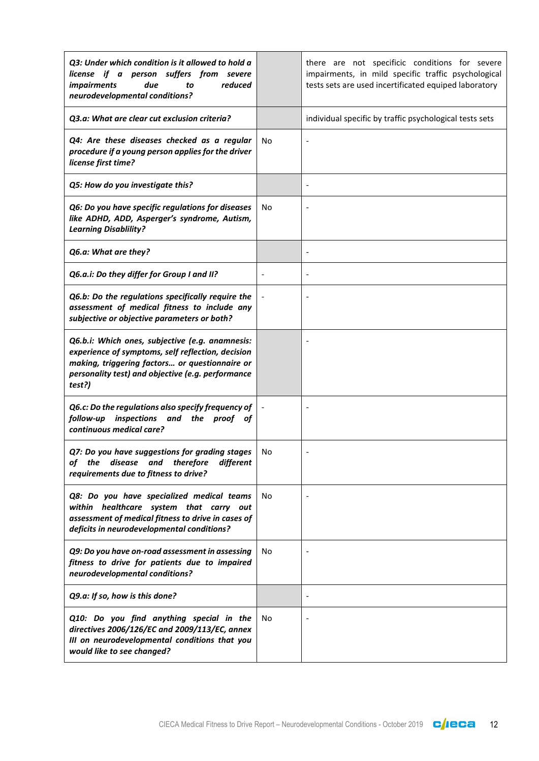| Q3: Under which condition is it allowed to hold a<br>license if a person suffers from severe<br>due<br>reduced<br><i>impairments</i><br>to<br>neurodevelopmental conditions?                                          |    | there are not specificic conditions for severe<br>impairments, in mild specific traffic psychological<br>tests sets are used incertificated equiped laboratory |
|-----------------------------------------------------------------------------------------------------------------------------------------------------------------------------------------------------------------------|----|----------------------------------------------------------------------------------------------------------------------------------------------------------------|
| O3.a: What are clear cut exclusion criteria?                                                                                                                                                                          |    | individual specific by traffic psychological tests sets                                                                                                        |
| Q4: Are these diseases checked as a regular<br>procedure if a young person applies for the driver<br>license first time?                                                                                              | No |                                                                                                                                                                |
| Q5: How do you investigate this?                                                                                                                                                                                      |    |                                                                                                                                                                |
| Q6: Do you have specific regulations for diseases<br>like ADHD, ADD, Asperger's syndrome, Autism,<br><b>Learning Disablility?</b>                                                                                     | No |                                                                                                                                                                |
| Q6.a: What are they?                                                                                                                                                                                                  |    |                                                                                                                                                                |
| Q6.a.i: Do they differ for Group I and II?                                                                                                                                                                            |    |                                                                                                                                                                |
| Q6.b: Do the regulations specifically require the<br>assessment of medical fitness to include any<br>subjective or objective parameters or both?                                                                      |    |                                                                                                                                                                |
| Q6.b.i: Which ones, subjective (e.g. anamnesis:<br>experience of symptoms, self reflection, decision<br>making, triggering factors or questionnaire or<br>personality test) and objective (e.g. performance<br>test?) |    |                                                                                                                                                                |
| Q6.c: Do the regulations also specify frequency of<br>inspections and the proof of<br>follow-up<br>continuous medical care?                                                                                           |    |                                                                                                                                                                |
| Q7: Do you have suggestions for grading stages<br>disease and therefore<br>different<br>of the<br>requirements due to fitness to drive?                                                                               | No |                                                                                                                                                                |
| Q8: Do you have specialized medical teams<br>within healthcare system that carry out<br>assessment of medical fitness to drive in cases of<br>deficits in neurodevelopmental conditions?                              | No |                                                                                                                                                                |
| Q9: Do you have on-road assessment in assessing<br>fitness to drive for patients due to impaired<br>neurodevelopmental conditions?                                                                                    | No |                                                                                                                                                                |
| Q9.a: If so, how is this done?                                                                                                                                                                                        |    |                                                                                                                                                                |
| Q10: Do you find anything special in the<br>directives 2006/126/EC and 2009/113/EC, annex<br>III on neurodevelopmental conditions that you<br>would like to see changed?                                              | No |                                                                                                                                                                |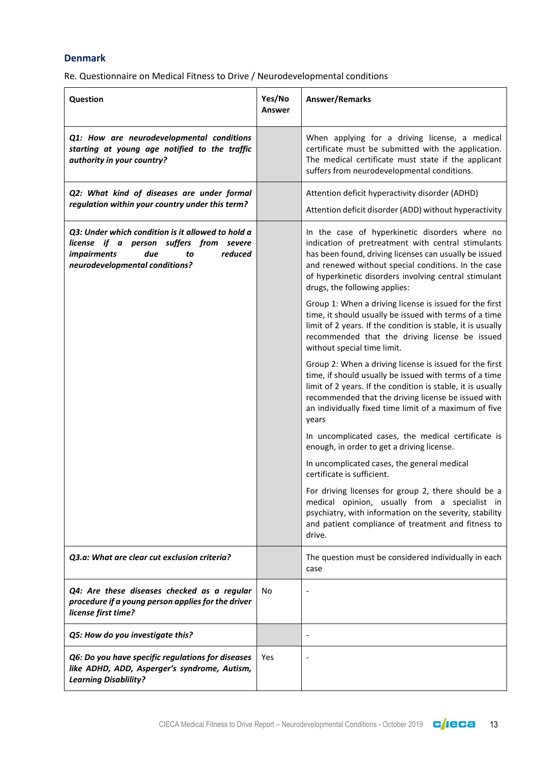#### **Denmark**

| Question                                                                                                                                                                     | Yes/No<br><b>Answer</b> | Answer/Remarks                                                                                                                                                                                                                                                                                                  |
|------------------------------------------------------------------------------------------------------------------------------------------------------------------------------|-------------------------|-----------------------------------------------------------------------------------------------------------------------------------------------------------------------------------------------------------------------------------------------------------------------------------------------------------------|
| Q1: How are neurodevelopmental conditions<br>starting at young age notified to the traffic<br>authority in your country?                                                     |                         | When applying for a driving license, a medical<br>certificate must be submitted with the application.<br>The medical certificate must state if the applicant<br>suffers from neurodevelopmental conditions.                                                                                                     |
| Q2: What kind of diseases are under formal<br>regulation within your country under this term?                                                                                |                         | Attention deficit hyperactivity disorder (ADHD)<br>Attention deficit disorder (ADD) without hyperactivity                                                                                                                                                                                                       |
| Q3: Under which condition is it allowed to hold a<br>license if a person suffers from severe<br><i>impairments</i><br>reduced<br>due<br>to<br>neurodevelopmental conditions? |                         | In the case of hyperkinetic disorders where no<br>indication of pretreatment with central stimulants<br>has been found, driving licenses can usually be issued<br>and renewed without special conditions. In the case<br>of hyperkinetic disorders involving central stimulant<br>drugs, the following applies: |
|                                                                                                                                                                              |                         | Group 1: When a driving license is issued for the first<br>time, it should usually be issued with terms of a time<br>limit of 2 years. If the condition is stable, it is usually<br>recommended that the driving license be issued<br>without special time limit.                                               |
|                                                                                                                                                                              |                         | Group 2: When a driving license is issued for the first<br>time, if should usually be issued with terms of a time<br>limit of 2 years. If the condition is stable, it is usually<br>recommended that the driving license be issued with<br>an individually fixed time limit of a maximum of five<br>years       |
|                                                                                                                                                                              |                         | In uncomplicated cases, the medical certificate is<br>enough, in order to get a driving license.                                                                                                                                                                                                                |
|                                                                                                                                                                              |                         | In uncomplicated cases, the general medical<br>certificate is sufficient.                                                                                                                                                                                                                                       |
|                                                                                                                                                                              |                         | For driving licenses for group 2, there should be a<br>medical opinion, usually from a specialist in<br>psychiatry, with information on the severity, stability<br>and patient compliance of treatment and fitness to<br>drive.                                                                                 |
| Q3.a: What are clear cut exclusion criteria?                                                                                                                                 |                         | The question must be considered individually in each<br>case                                                                                                                                                                                                                                                    |
| Q4: Are these diseases checked as a regular<br>procedure if a young person applies for the driver<br>license first time?                                                     | No                      |                                                                                                                                                                                                                                                                                                                 |
| Q5: How do you investigate this?                                                                                                                                             |                         |                                                                                                                                                                                                                                                                                                                 |
| Q6: Do you have specific regulations for diseases<br>like ADHD, ADD, Asperger's syndrome, Autism,<br><b>Learning Disablility?</b>                                            | Yes                     |                                                                                                                                                                                                                                                                                                                 |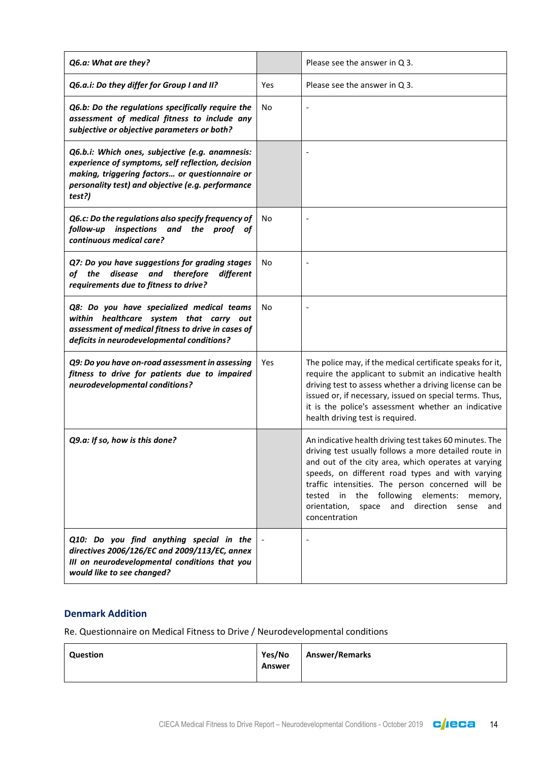| Q6.a: What are they?                                                                                                                                                                                                  |     | Please see the answer in Q 3.                                                                                                                                                                                                                                                                                                                                                                                     |
|-----------------------------------------------------------------------------------------------------------------------------------------------------------------------------------------------------------------------|-----|-------------------------------------------------------------------------------------------------------------------------------------------------------------------------------------------------------------------------------------------------------------------------------------------------------------------------------------------------------------------------------------------------------------------|
| Q6.a.i: Do they differ for Group I and II?                                                                                                                                                                            | Yes | Please see the answer in $Q$ 3.                                                                                                                                                                                                                                                                                                                                                                                   |
| Q6.b: Do the regulations specifically require the<br>assessment of medical fitness to include any<br>subjective or objective parameters or both?                                                                      | No  |                                                                                                                                                                                                                                                                                                                                                                                                                   |
| Q6.b.i: Which ones, subjective (e.g. anamnesis:<br>experience of symptoms, self reflection, decision<br>making, triggering factors or questionnaire or<br>personality test) and objective (e.g. performance<br>test?) |     |                                                                                                                                                                                                                                                                                                                                                                                                                   |
| Q6.c: Do the regulations also specify frequency of<br>follow-up<br>inspections and<br>the proof of<br>continuous medical care?                                                                                        | No  |                                                                                                                                                                                                                                                                                                                                                                                                                   |
| Q7: Do you have suggestions for grading stages<br>and therefore<br>disease<br>of the<br>different<br>requirements due to fitness to drive?                                                                            | No  |                                                                                                                                                                                                                                                                                                                                                                                                                   |
| Q8: Do you have specialized medical teams<br>within healthcare system that carry out<br>assessment of medical fitness to drive in cases of<br>deficits in neurodevelopmental conditions?                              | No  |                                                                                                                                                                                                                                                                                                                                                                                                                   |
| Q9: Do you have on-road assessment in assessing<br>fitness to drive for patients due to impaired<br>neurodevelopmental conditions?                                                                                    | Yes | The police may, if the medical certificate speaks for it,<br>require the applicant to submit an indicative health<br>driving test to assess whether a driving license can be<br>issued or, if necessary, issued on special terms. Thus,<br>it is the police's assessment whether an indicative<br>health driving test is required.                                                                                |
| Q9.a: If so, how is this done?                                                                                                                                                                                        |     | An indicative health driving test takes 60 minutes. The<br>driving test usually follows a more detailed route in<br>and out of the city area, which operates at varying<br>speeds, on different road types and with varying<br>traffic intensities. The person concerned will be<br>the following elements: memory,<br>tested<br>in<br>direction<br>orientation,<br>space<br>and<br>sense<br>and<br>concentration |
| Q10: Do you find anything special in the<br>directives 2006/126/EC and 2009/113/EC, annex<br>III on neurodevelopmental conditions that you<br>would like to see changed?                                              |     |                                                                                                                                                                                                                                                                                                                                                                                                                   |

#### **Denmark Addition**

| Question | Yes/No | Answer/Remarks |
|----------|--------|----------------|
|          | Answer |                |
|          |        |                |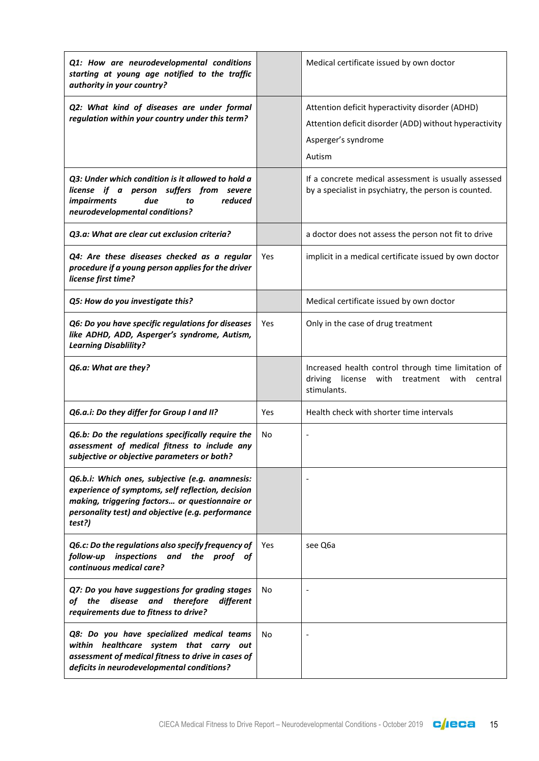| Q1: How are neurodevelopmental conditions<br>starting at young age notified to the traffic<br>authority in your country?                                                                                              |     | Medical certificate issued by own doctor                                                                                                   |
|-----------------------------------------------------------------------------------------------------------------------------------------------------------------------------------------------------------------------|-----|--------------------------------------------------------------------------------------------------------------------------------------------|
| Q2: What kind of diseases are under formal<br>regulation within your country under this term?                                                                                                                         |     | Attention deficit hyperactivity disorder (ADHD)<br>Attention deficit disorder (ADD) without hyperactivity<br>Asperger's syndrome<br>Autism |
| Q3: Under which condition is it allowed to hold a<br>license if a person suffers from severe<br><i>impairments</i><br>due<br>reduced<br>to<br>neurodevelopmental conditions?                                          |     | If a concrete medical assessment is usually assessed<br>by a specialist in psychiatry, the person is counted.                              |
| Q3.a: What are clear cut exclusion criteria?                                                                                                                                                                          |     | a doctor does not assess the person not fit to drive                                                                                       |
| Q4: Are these diseases checked as a regular<br>procedure if a young person applies for the driver<br>license first time?                                                                                              | Yes | implicit in a medical certificate issued by own doctor                                                                                     |
| Q5: How do you investigate this?                                                                                                                                                                                      |     | Medical certificate issued by own doctor                                                                                                   |
| Q6: Do you have specific regulations for diseases<br>like ADHD, ADD, Asperger's syndrome, Autism,<br><b>Learning Disablility?</b>                                                                                     | Yes | Only in the case of drug treatment                                                                                                         |
| Q6.a: What are they?                                                                                                                                                                                                  |     | Increased health control through time limitation of<br>driving<br>license with treatment with<br>central<br>stimulants.                    |
| Q6.a.i: Do they differ for Group I and II?                                                                                                                                                                            | Yes | Health check with shorter time intervals                                                                                                   |
| Q6.b: Do the regulations specifically require the<br>assessment of medical fitness to include any<br>subjective or objective parameters or both?                                                                      | No  |                                                                                                                                            |
| Q6.b.i: Which ones, subjective (e.g. anamnesis:<br>experience of symptoms, self reflection, decision<br>making, triggering factors or questionnaire or<br>personality test) and objective (e.g. performance<br>test?) |     |                                                                                                                                            |
| Q6.c: Do the regulations also specify frequency of<br>inspections and the proof of<br>follow-up<br>continuous medical care?                                                                                           | Yes | see Q6a                                                                                                                                    |
| Q7: Do you have suggestions for grading stages<br>of the disease and<br>therefore<br>different<br>requirements due to fitness to drive?                                                                               | No  |                                                                                                                                            |
| Q8: Do you have specialized medical teams<br>within healthcare system that carry out<br>assessment of medical fitness to drive in cases of<br>deficits in neurodevelopmental conditions?                              | No  |                                                                                                                                            |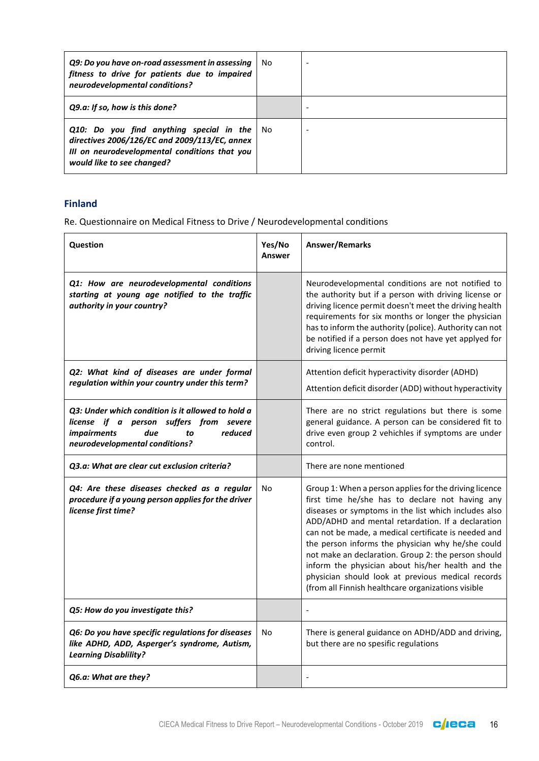| Q9: Do you have on-road assessment in assessing<br>fitness to drive for patients due to impaired<br>neurodevelopmental conditions?                                       | No.  |  |
|--------------------------------------------------------------------------------------------------------------------------------------------------------------------------|------|--|
| Q9.a: If so, how is this done?                                                                                                                                           |      |  |
| Q10: Do you find anything special in the<br>directives 2006/126/EC and 2009/113/EC, annex<br>III on neurodevelopmental conditions that you<br>would like to see changed? | - No |  |

#### **Finland**

| Question                                                                                                                                                                     | Yes/No<br>Answer | Answer/Remarks                                                                                                                                                                                                                                                                                                                                                                                                                                                                                                                                             |
|------------------------------------------------------------------------------------------------------------------------------------------------------------------------------|------------------|------------------------------------------------------------------------------------------------------------------------------------------------------------------------------------------------------------------------------------------------------------------------------------------------------------------------------------------------------------------------------------------------------------------------------------------------------------------------------------------------------------------------------------------------------------|
| Q1: How are neurodevelopmental conditions<br>starting at young age notified to the traffic<br>authority in your country?                                                     |                  | Neurodevelopmental conditions are not notified to<br>the authority but if a person with driving license or<br>driving licence permit doesn't meet the driving health<br>requirements for six months or longer the physician<br>has to inform the authority (police). Authority can not<br>be notified if a person does not have yet applyed for<br>driving licence permit                                                                                                                                                                                  |
| Q2: What kind of diseases are under formal<br>regulation within your country under this term?                                                                                |                  | Attention deficit hyperactivity disorder (ADHD)<br>Attention deficit disorder (ADD) without hyperactivity                                                                                                                                                                                                                                                                                                                                                                                                                                                  |
| Q3: Under which condition is it allowed to hold a<br>license if a person suffers from severe<br>reduced<br><i>impairments</i><br>due<br>to<br>neurodevelopmental conditions? |                  | There are no strict regulations but there is some<br>general guidance. A person can be considered fit to<br>drive even group 2 vehichles if symptoms are under<br>control.                                                                                                                                                                                                                                                                                                                                                                                 |
| O3.a: What are clear cut exclusion criteria?                                                                                                                                 |                  | There are none mentioned                                                                                                                                                                                                                                                                                                                                                                                                                                                                                                                                   |
| Q4: Are these diseases checked as a regular<br>procedure if a young person applies for the driver<br>license first time?                                                     | No               | Group 1: When a person applies for the driving licence<br>first time he/she has to declare not having any<br>diseases or symptoms in the list which includes also<br>ADD/ADHD and mental retardation. If a declaration<br>can not be made, a medical certificate is needed and<br>the person informs the physician why he/she could<br>not make an declaration. Group 2: the person should<br>inform the physician about his/her health and the<br>physician should look at previous medical records<br>(from all Finnish healthcare organizations visible |
| Q5: How do you investigate this?                                                                                                                                             |                  |                                                                                                                                                                                                                                                                                                                                                                                                                                                                                                                                                            |
| Q6: Do you have specific regulations for diseases<br>like ADHD, ADD, Asperger's syndrome, Autism,<br><b>Learning Disablility?</b>                                            | No               | There is general guidance on ADHD/ADD and driving,<br>but there are no spesific regulations                                                                                                                                                                                                                                                                                                                                                                                                                                                                |
| Q6.a: What are they?                                                                                                                                                         |                  |                                                                                                                                                                                                                                                                                                                                                                                                                                                                                                                                                            |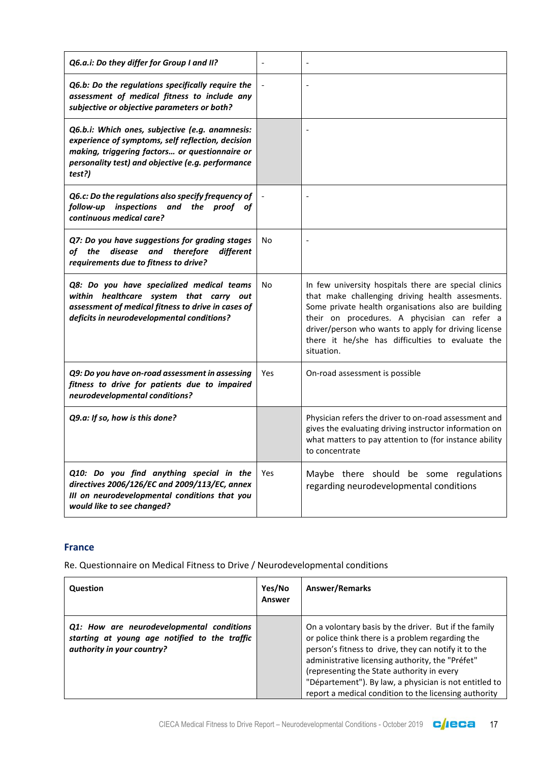| Q6.a.i: Do they differ for Group I and II?                                                                                                                                                                            |     |                                                                                                                                                                                                                                                                                                                                            |
|-----------------------------------------------------------------------------------------------------------------------------------------------------------------------------------------------------------------------|-----|--------------------------------------------------------------------------------------------------------------------------------------------------------------------------------------------------------------------------------------------------------------------------------------------------------------------------------------------|
| Q6.b: Do the regulations specifically require the<br>assessment of medical fitness to include any<br>subjective or objective parameters or both?                                                                      |     |                                                                                                                                                                                                                                                                                                                                            |
| Q6.b.i: Which ones, subjective (e.g. anamnesis:<br>experience of symptoms, self reflection, decision<br>making, triggering factors or questionnaire or<br>personality test) and objective (e.g. performance<br>test?) |     |                                                                                                                                                                                                                                                                                                                                            |
| Q6.c: Do the regulations also specify frequency of<br>follow-up inspections and the proof of<br>continuous medical care?                                                                                              |     | $\overline{\phantom{a}}$                                                                                                                                                                                                                                                                                                                   |
| Q7: Do you have suggestions for grading stages<br>disease<br>therefore<br>different<br>of the<br>and<br>requirements due to fitness to drive?                                                                         | No. |                                                                                                                                                                                                                                                                                                                                            |
| Q8: Do you have specialized medical teams<br>within healthcare system that carry out<br>assessment of medical fitness to drive in cases of<br>deficits in neurodevelopmental conditions?                              | No  | In few university hospitals there are special clinics<br>that make challenging driving health assesments.<br>Some private health organisations also are building<br>their on procedures. A phycisian can refer a<br>driver/person who wants to apply for driving license<br>there it he/she has difficulties to evaluate the<br>situation. |
| Q9: Do you have on-road assessment in assessing<br>fitness to drive for patients due to impaired<br>neurodevelopmental conditions?                                                                                    | Yes | On-road assessment is possible                                                                                                                                                                                                                                                                                                             |
| Q9.a: If so, how is this done?                                                                                                                                                                                        |     | Physician refers the driver to on-road assessment and<br>gives the evaluating driving instructor information on<br>what matters to pay attention to (for instance ability<br>to concentrate                                                                                                                                                |
| Q10: Do you find anything special in the<br>directives 2006/126/EC and 2009/113/EC, annex<br>III on neurodevelopmental conditions that you<br>would like to see changed?                                              | Yes | Maybe there should be some regulations<br>regarding neurodevelopmental conditions                                                                                                                                                                                                                                                          |

#### **France**

| <b>Question</b>                                                                                                          | Yes/No<br><b>Answer</b> | <b>Answer/Remarks</b>                                                                                                                                                                                                                                                                                                                                                                  |
|--------------------------------------------------------------------------------------------------------------------------|-------------------------|----------------------------------------------------------------------------------------------------------------------------------------------------------------------------------------------------------------------------------------------------------------------------------------------------------------------------------------------------------------------------------------|
| Q1: How are neurodevelopmental conditions<br>starting at young age notified to the traffic<br>authority in your country? |                         | On a volontary basis by the driver. But if the family<br>or police think there is a problem regarding the<br>person's fitness to drive, they can notify it to the<br>administrative licensing authority, the "Préfet"<br>(representing the State authority in every<br>"Département"). By law, a physician is not entitled to<br>report a medical condition to the licensing authority |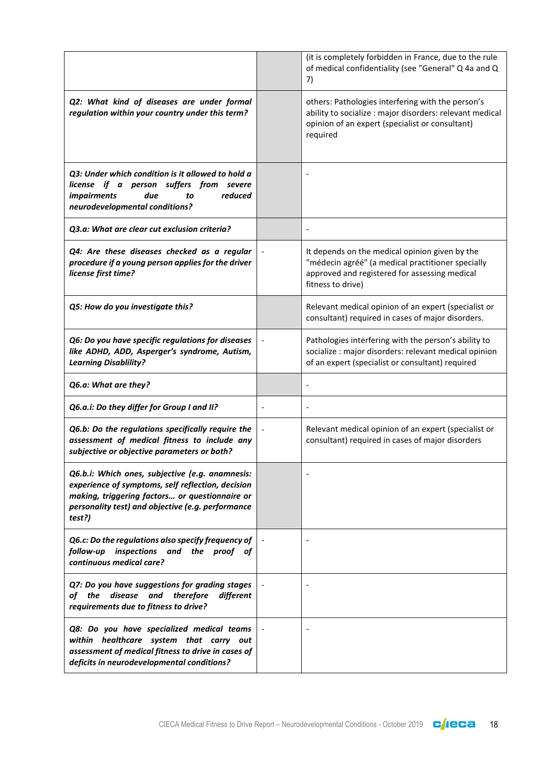|                                                                                                                                                                                                                       |                          | (it is completely forbidden in France, due to the rule<br>of medical confidentiality (see "General" Q 4a and Q<br>7)                                                         |
|-----------------------------------------------------------------------------------------------------------------------------------------------------------------------------------------------------------------------|--------------------------|------------------------------------------------------------------------------------------------------------------------------------------------------------------------------|
| Q2: What kind of diseases are under formal<br>regulation within your country under this term?                                                                                                                         |                          | others: Pathologies interfering with the person's<br>ability to socialize : major disorders: relevant medical<br>opinion of an expert (specialist or consultant)<br>required |
| Q3: Under which condition is it allowed to hold a<br>license if a person suffers from severe<br>reduced<br><i>impairments</i><br>due<br>to<br>neurodevelopmental conditions?                                          |                          |                                                                                                                                                                              |
| Q3.a: What are clear cut exclusion criteria?                                                                                                                                                                          |                          |                                                                                                                                                                              |
| Q4: Are these diseases checked as a regular<br>procedure if a young person applies for the driver<br>license first time?                                                                                              |                          | It depends on the medical opinion given by the<br>"médecin agréé" (a medical practitioner specially<br>approved and registered for assessing medical<br>fitness to drive)    |
| Q5: How do you investigate this?                                                                                                                                                                                      |                          | Relevant medical opinion of an expert (specialist or<br>consultant) required in cases of major disorders.                                                                    |
| Q6: Do you have specific regulations for diseases<br>like ADHD, ADD, Asperger's syndrome, Autism,<br><b>Learning Disablility?</b>                                                                                     |                          | Pathologies interfering with the person's ability to<br>socialize : major disorders: relevant medical opinion<br>of an expert (specialist or consultant) required            |
| Q6.a: What are they?                                                                                                                                                                                                  |                          |                                                                                                                                                                              |
| Q6.a.i: Do they differ for Group I and II?                                                                                                                                                                            | $\overline{\phantom{0}}$ | $\overline{a}$                                                                                                                                                               |
| Q6.b: Do the regulations specifically require the<br>assessment of medical fitness to include any<br>subjective or objective parameters or both?                                                                      |                          | Relevant medical opinion of an expert (specialist or<br>consultant) required in cases of major disorders                                                                     |
| Q6.b.i: Which ones, subjective (e.g. anamnesis:<br>experience of symptoms, self reflection, decision<br>making, triggering factors or questionnaire or<br>personality test) and objective (e.g. performance<br>test?) |                          |                                                                                                                                                                              |
| Q6.c: Do the regulations also specify frequency of<br>follow-up inspections and the proof of<br>continuous medical care?                                                                                              |                          |                                                                                                                                                                              |
| Q7: Do you have suggestions for grading stages<br>disease and<br>of the<br>therefore<br>different<br>requirements due to fitness to drive?                                                                            |                          |                                                                                                                                                                              |
| Q8: Do you have specialized medical teams<br>within healthcare system that carry out<br>assessment of medical fitness to drive in cases of<br>deficits in neurodevelopmental conditions?                              |                          |                                                                                                                                                                              |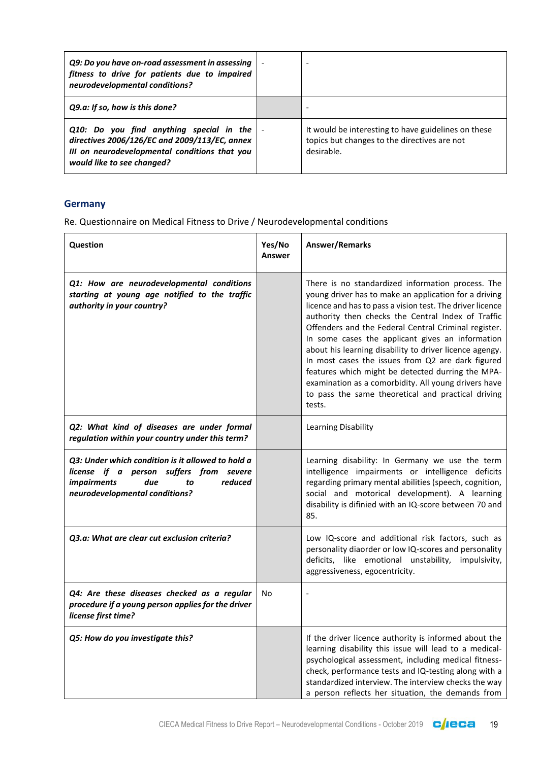| Q9: Do you have on-road assessment in assessing<br>fitness to drive for patients due to impaired<br>neurodevelopmental conditions?                                       |                          |                                                                                                                   |
|--------------------------------------------------------------------------------------------------------------------------------------------------------------------------|--------------------------|-------------------------------------------------------------------------------------------------------------------|
| Q9.a: If so, how is this done?                                                                                                                                           |                          |                                                                                                                   |
| Q10: Do you find anything special in the<br>directives 2006/126/EC and 2009/113/EC, annex<br>III on neurodevelopmental conditions that you<br>would like to see changed? | $\overline{\phantom{a}}$ | It would be interesting to have guidelines on these<br>topics but changes to the directives are not<br>desirable. |

## **Germany**

| Question                                                                                                                                                                     | Yes/No<br><b>Answer</b> | Answer/Remarks                                                                                                                                                                                                                                                                                                                                                                                                                                                                                                                                                                                                                         |
|------------------------------------------------------------------------------------------------------------------------------------------------------------------------------|-------------------------|----------------------------------------------------------------------------------------------------------------------------------------------------------------------------------------------------------------------------------------------------------------------------------------------------------------------------------------------------------------------------------------------------------------------------------------------------------------------------------------------------------------------------------------------------------------------------------------------------------------------------------------|
| Q1: How are neurodevelopmental conditions<br>starting at young age notified to the traffic<br>authority in your country?                                                     |                         | There is no standardized information process. The<br>young driver has to make an application for a driving<br>licence and has to pass a vision test. The driver licence<br>authority then checks the Central Index of Traffic<br>Offenders and the Federal Central Criminal register.<br>In some cases the applicant gives an information<br>about his learning disability to driver licence agengy.<br>In most cases the issues from Q2 are dark figured<br>features which might be detected durring the MPA-<br>examination as a comorbidity. All young drivers have<br>to pass the same theoretical and practical driving<br>tests. |
| Q2: What kind of diseases are under formal<br>regulation within your country under this term?                                                                                |                         | Learning Disability                                                                                                                                                                                                                                                                                                                                                                                                                                                                                                                                                                                                                    |
| Q3: Under which condition is it allowed to hold a<br>license if a person suffers from severe<br><i>impairments</i><br>reduced<br>due<br>to<br>neurodevelopmental conditions? |                         | Learning disability: In Germany we use the term<br>intelligence impairments or intelligence deficits<br>regarding primary mental abilities (speech, cognition,<br>social and motorical development). A learning<br>disability is difinied with an IQ-score between 70 and<br>85.                                                                                                                                                                                                                                                                                                                                                       |
| Q3.a: What are clear cut exclusion criteria?                                                                                                                                 |                         | Low IQ-score and additional risk factors, such as<br>personality diaorder or low IQ-scores and personality<br>deficits, like emotional unstability, impulsivity,<br>aggressiveness, egocentricity.                                                                                                                                                                                                                                                                                                                                                                                                                                     |
| Q4: Are these diseases checked as a regular<br>procedure if a young person applies for the driver<br>license first time?                                                     | No                      |                                                                                                                                                                                                                                                                                                                                                                                                                                                                                                                                                                                                                                        |
| Q5: How do you investigate this?                                                                                                                                             |                         | If the driver licence authority is informed about the<br>learning disability this issue will lead to a medical-<br>psychological assessment, including medical fitness-<br>check, performance tests and IQ-testing along with a<br>standardized interview. The interview checks the way<br>a person reflects her situation, the demands from                                                                                                                                                                                                                                                                                           |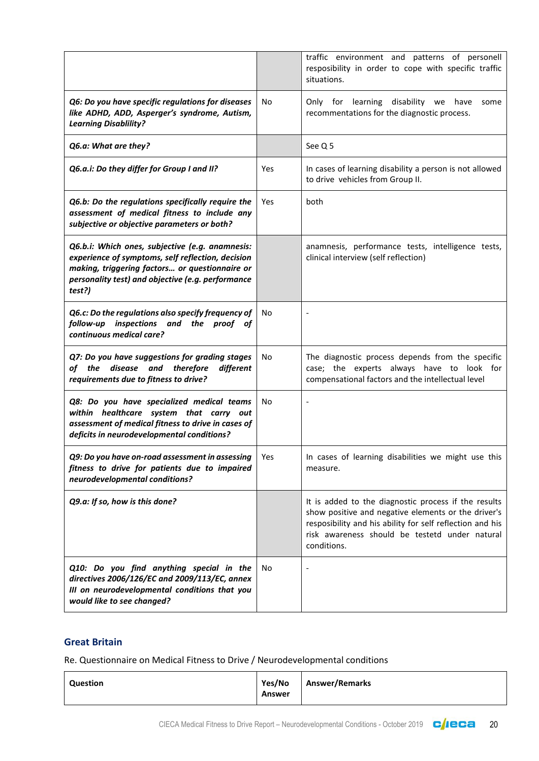|                                                                                                                                                                                                                       |     | traffic environment and patterns of personell<br>resposibility in order to cope with specific traffic<br>situations.                                                                                                                      |
|-----------------------------------------------------------------------------------------------------------------------------------------------------------------------------------------------------------------------|-----|-------------------------------------------------------------------------------------------------------------------------------------------------------------------------------------------------------------------------------------------|
| Q6: Do you have specific regulations for diseases<br>like ADHD, ADD, Asperger's syndrome, Autism,<br><b>Learning Disablility?</b>                                                                                     | No  | Only for learning disability we have<br>some<br>recommentations for the diagnostic process.                                                                                                                                               |
| Q6.a: What are they?                                                                                                                                                                                                  |     | See Q 5                                                                                                                                                                                                                                   |
| Q6.a.i: Do they differ for Group I and II?                                                                                                                                                                            | Yes | In cases of learning disability a person is not allowed<br>to drive vehicles from Group II.                                                                                                                                               |
| Q6.b: Do the regulations specifically require the<br>assessment of medical fitness to include any<br>subjective or objective parameters or both?                                                                      | Yes | both                                                                                                                                                                                                                                      |
| Q6.b.i: Which ones, subjective (e.g. anamnesis:<br>experience of symptoms, self reflection, decision<br>making, triggering factors or questionnaire or<br>personality test) and objective (e.g. performance<br>test?) |     | anamnesis, performance tests, intelligence tests,<br>clinical interview (self reflection)                                                                                                                                                 |
| Q6.c: Do the regulations also specify frequency of<br>follow-up inspections and the proof of<br>continuous medical care?                                                                                              | No  |                                                                                                                                                                                                                                           |
| Q7: Do you have suggestions for grading stages<br>of the disease and therefore<br>different<br>requirements due to fitness to drive?                                                                                  | No  | The diagnostic process depends from the specific<br>case; the experts always have to look for<br>compensational factors and the intellectual level                                                                                        |
| Q8: Do you have specialized medical teams<br>within healthcare system that carry out<br>assessment of medical fitness to drive in cases of<br>deficits in neurodevelopmental conditions?                              | No  |                                                                                                                                                                                                                                           |
| Q9: Do you have on-road assessment in assessing<br>fitness to drive for patients due to impaired<br>neurodevelopmental conditions?                                                                                    | Yes | In cases of learning disabilities we might use this<br>measure.                                                                                                                                                                           |
| Q9.a: If so, how is this done?                                                                                                                                                                                        |     | It is added to the diagnostic process if the results<br>show positive and negative elements or the driver's<br>resposibility and his ability for self reflection and his<br>risk awareness should be testetd under natural<br>conditions. |
| Q10: Do you find anything special in the<br>directives 2006/126/EC and 2009/113/EC, annex<br>III on neurodevelopmental conditions that you<br>would like to see changed?                                              | No  |                                                                                                                                                                                                                                           |

#### **Great Britain**

| Answer | Question | Yes/No | <b>Answer/Remarks</b> |
|--------|----------|--------|-----------------------|
|--------|----------|--------|-----------------------|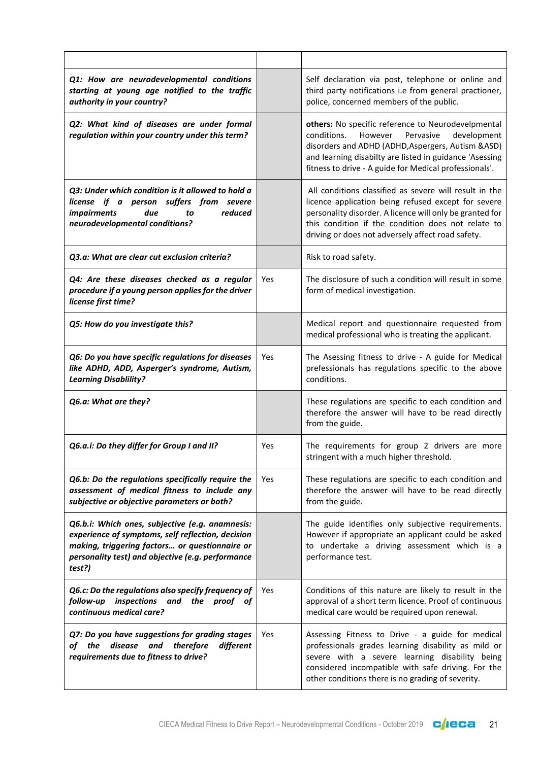| Q1: How are neurodevelopmental conditions<br>starting at young age notified to the traffic<br>authority in your country?                                                                                              |            | Self declaration via post, telephone or online and<br>third party notifications i.e from general practioner,<br>police, concerned members of the public.                                                                                                                             |
|-----------------------------------------------------------------------------------------------------------------------------------------------------------------------------------------------------------------------|------------|--------------------------------------------------------------------------------------------------------------------------------------------------------------------------------------------------------------------------------------------------------------------------------------|
| Q2: What kind of diseases are under formal<br>regulation within your country under this term?                                                                                                                         |            | others: No specific reference to Neurodevelpmental<br>conditions.<br>However<br>Pervasive<br>development<br>disorders and ADHD (ADHD, Aspergers, Autism & ASD)<br>and learning disabilty are listed in guidance 'Asessing<br>fitness to drive - A guide for Medical professionals'.  |
| Q3: Under which condition is it allowed to hold a<br>license if a person suffers from severe<br>reduced<br><i>impairments</i><br>due<br>to<br>neurodevelopmental conditions?                                          |            | All conditions classified as severe will result in the<br>licence application being refused except for severe<br>personality disorder. A licence will only be granted for<br>this condition if the condition does not relate to<br>driving or does not adversely affect road safety. |
| Q3.a: What are clear cut exclusion criteria?                                                                                                                                                                          |            | Risk to road safety.                                                                                                                                                                                                                                                                 |
| Q4: Are these diseases checked as a regular<br>procedure if a young person applies for the driver<br>license first time?                                                                                              | <b>Yes</b> | The disclosure of such a condition will result in some<br>form of medical investigation.                                                                                                                                                                                             |
| Q5: How do you investigate this?                                                                                                                                                                                      |            | Medical report and questionnaire requested from<br>medical professional who is treating the applicant.                                                                                                                                                                               |
| Q6: Do you have specific regulations for diseases<br>like ADHD, ADD, Asperger's syndrome, Autism,<br><b>Learning Disablility?</b>                                                                                     | Yes        | The Asessing fitness to drive - A guide for Medical<br>prefessionals has regulations specific to the above<br>conditions.                                                                                                                                                            |
| Q6.a: What are they?                                                                                                                                                                                                  |            | These regulations are specific to each condition and<br>therefore the answer will have to be read directly<br>from the guide.                                                                                                                                                        |
| Q6.a.i: Do they differ for Group I and II?                                                                                                                                                                            | Yes        | The requirements for group 2 drivers are more<br>stringent with a much higher threshold.                                                                                                                                                                                             |
| Q6.b: Do the regulations specifically require the<br>assessment of medical fitness to include any<br>subjective or objective parameters or both?                                                                      | Yes        | These regulations are specific to each condition and<br>therefore the answer will have to be read directly<br>from the guide.                                                                                                                                                        |
| Q6.b.i: Which ones, subjective (e.g. anamnesis:<br>experience of symptoms, self reflection, decision<br>making, triggering factors or questionnaire or<br>personality test) and objective (e.g. performance<br>test?) |            | The guide identifies only subjective requirements.<br>However if appropriate an applicant could be asked<br>to undertake a driving assessment which is a<br>performance test.                                                                                                        |
| Q6.c: Do the regulations also specify frequency of<br>inspections and<br>follow-up<br>the proof of<br>continuous medical care?                                                                                        | Yes        | Conditions of this nature are likely to result in the<br>approval of a short term licence. Proof of continuous<br>medical care would be required upon renewal.                                                                                                                       |
| Q7: Do you have suggestions for grading stages<br>disease<br>therefore<br>and<br>different<br>of the<br>requirements due to fitness to drive?                                                                         | Yes        | Assessing Fitness to Drive - a guide for medical<br>professionals grades learning disability as mild or<br>severe with a severe learning disability being<br>considered incompatible with safe driving. For the<br>other conditions there is no grading of severity.                 |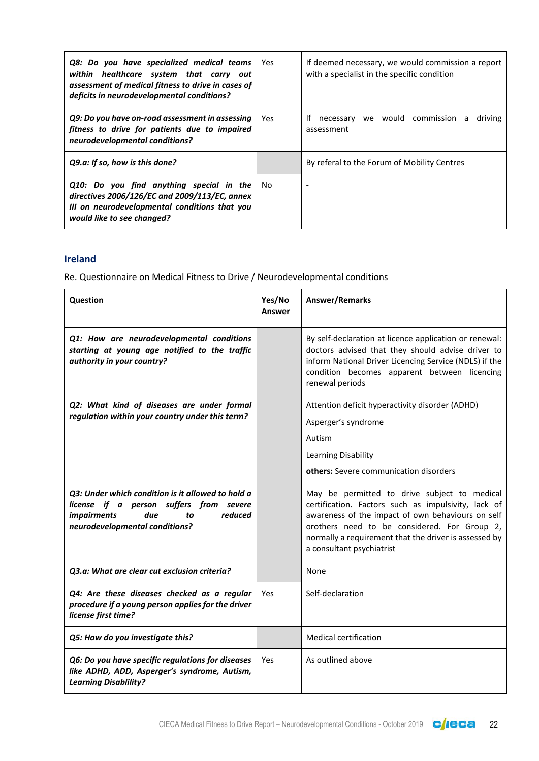| Q8: Do you have specialized medical teams<br>within healthcare system that carry out<br>assessment of medical fitness to drive in cases of<br>deficits in neurodevelopmental conditions? | Yes  | If deemed necessary, we would commission a report<br>with a specialist in the specific condition |
|------------------------------------------------------------------------------------------------------------------------------------------------------------------------------------------|------|--------------------------------------------------------------------------------------------------|
| Q9: Do you have on-road assessment in assessing<br>fitness to drive for patients due to impaired<br>neurodevelopmental conditions?                                                       | Yes. | we would commission a<br>Ιf<br>necessary<br>driving<br>assessment                                |
| Q9.a: If so, how is this done?                                                                                                                                                           |      | By referal to the Forum of Mobility Centres                                                      |
| Q10: Do you find anything special in the<br>directives 2006/126/EC and 2009/113/EC, annex<br>III on neurodevelopmental conditions that you<br>would like to see changed?                 | No.  |                                                                                                  |

#### **Ireland**

| <b>Question</b>                                                                                                                                                              | Yes/No<br><b>Answer</b> | Answer/Remarks                                                                                                                                                                                                                                                                                 |
|------------------------------------------------------------------------------------------------------------------------------------------------------------------------------|-------------------------|------------------------------------------------------------------------------------------------------------------------------------------------------------------------------------------------------------------------------------------------------------------------------------------------|
| Q1: How are neurodevelopmental conditions<br>starting at young age notified to the traffic<br>authority in your country?                                                     |                         | By self-declaration at licence application or renewal:<br>doctors advised that they should advise driver to<br>inform National Driver Licencing Service (NDLS) if the<br>condition becomes apparent between licencing<br>renewal periods                                                       |
| Q2: What kind of diseases are under formal<br>regulation within your country under this term?                                                                                |                         | Attention deficit hyperactivity disorder (ADHD)<br>Asperger's syndrome<br>Autism<br>Learning Disability<br>others: Severe communication disorders                                                                                                                                              |
| Q3: Under which condition is it allowed to hold a<br>license if a person suffers from severe<br>reduced<br><i>impairments</i><br>due<br>to<br>neurodevelopmental conditions? |                         | May be permitted to drive subject to medical<br>certification. Factors such as impulsivity, lack of<br>awareness of the impact of own behaviours on self<br>orothers need to be considered. For Group 2,<br>normally a requirement that the driver is assessed by<br>a consultant psychiatrist |
| Q3.a: What are clear cut exclusion criteria?                                                                                                                                 |                         | None                                                                                                                                                                                                                                                                                           |
| Q4: Are these diseases checked as a regular<br>procedure if a young person applies for the driver<br>license first time?                                                     | Yes                     | Self-declaration                                                                                                                                                                                                                                                                               |
| Q5: How do you investigate this?                                                                                                                                             |                         | <b>Medical certification</b>                                                                                                                                                                                                                                                                   |
| Q6: Do you have specific regulations for diseases<br>like ADHD, ADD, Asperger's syndrome, Autism,<br><b>Learning Disablility?</b>                                            | Yes                     | As outlined above                                                                                                                                                                                                                                                                              |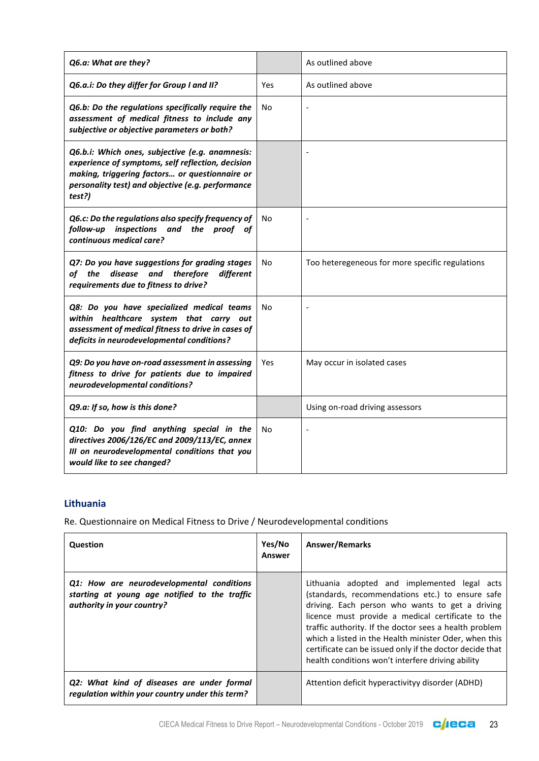| Q6.a: What are they?                                                                                                                                                                                                  |     | As outlined above                               |
|-----------------------------------------------------------------------------------------------------------------------------------------------------------------------------------------------------------------------|-----|-------------------------------------------------|
| Q6.a.i: Do they differ for Group I and II?                                                                                                                                                                            | Yes | As outlined above                               |
| Q6.b: Do the regulations specifically require the<br>assessment of medical fitness to include any<br>subjective or objective parameters or both?                                                                      | No  |                                                 |
| Q6.b.i: Which ones, subjective (e.g. anamnesis:<br>experience of symptoms, self reflection, decision<br>making, triggering factors or questionnaire or<br>personality test) and objective (e.g. performance<br>test?) |     |                                                 |
| Q6.c: Do the regulations also specify frequency of<br>follow-up inspections and the proof of<br>continuous medical care?                                                                                              | No  |                                                 |
| Q7: Do you have suggestions for grading stages<br>of the<br>disease<br>and<br>therefore<br>different<br>requirements due to fitness to drive?                                                                         | No. | Too heteregeneous for more specific regulations |
| Q8: Do you have specialized medical teams<br>within healthcare system that carry out<br>assessment of medical fitness to drive in cases of<br>deficits in neurodevelopmental conditions?                              | No  |                                                 |
| Q9: Do you have on-road assessment in assessing<br>fitness to drive for patients due to impaired<br>neurodevelopmental conditions?                                                                                    | Yes | May occur in isolated cases                     |
| Q9.a: If so, how is this done?                                                                                                                                                                                        |     | Using on-road driving assessors                 |
| Q10: Do you find anything special in the<br>directives 2006/126/EC and 2009/113/EC, annex<br>III on neurodevelopmental conditions that you<br>would like to see changed?                                              | No  |                                                 |

#### **Lithuania**

| <b>Question</b>                                                                                                          | Yes/No<br>Answer | <b>Answer/Remarks</b>                                                                                                                                                                                                                                                                                                                                                                                                                        |
|--------------------------------------------------------------------------------------------------------------------------|------------------|----------------------------------------------------------------------------------------------------------------------------------------------------------------------------------------------------------------------------------------------------------------------------------------------------------------------------------------------------------------------------------------------------------------------------------------------|
| Q1: How are neurodevelopmental conditions<br>starting at young age notified to the traffic<br>authority in your country? |                  | Lithuania adopted and implemented legal acts<br>(standards, recommendations etc.) to ensure safe<br>driving. Each person who wants to get a driving<br>licence must provide a medical certificate to the<br>traffic authority. If the doctor sees a health problem<br>which a listed in the Health minister Oder, when this<br>certificate can be issued only if the doctor decide that<br>health conditions won't interfere driving ability |
| Q2: What kind of diseases are under formal<br>regulation within your country under this term?                            |                  | Attention deficit hyperactivityy disorder (ADHD)                                                                                                                                                                                                                                                                                                                                                                                             |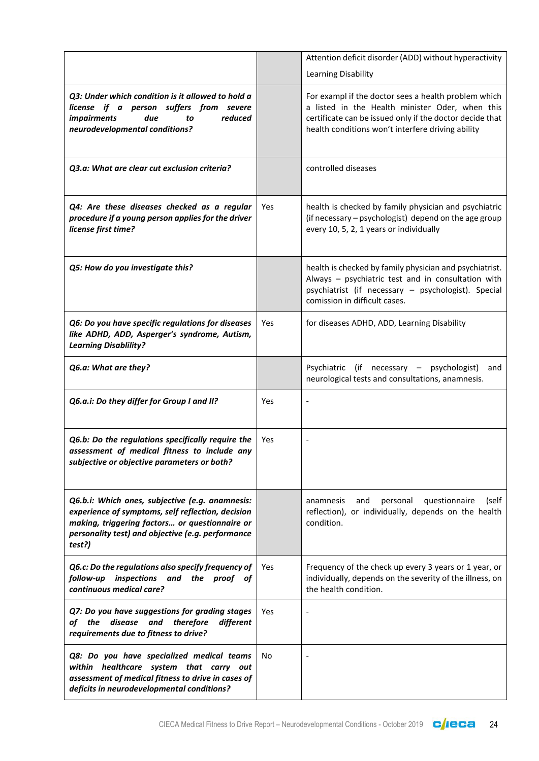|                                                                                                                                                                                                                       |     | Attention deficit disorder (ADD) without hyperactivity                                                                                                                                                                   |
|-----------------------------------------------------------------------------------------------------------------------------------------------------------------------------------------------------------------------|-----|--------------------------------------------------------------------------------------------------------------------------------------------------------------------------------------------------------------------------|
|                                                                                                                                                                                                                       |     | Learning Disability                                                                                                                                                                                                      |
| Q3: Under which condition is it allowed to hold a<br>license if a person suffers from severe<br><i>impairments</i><br>due<br>reduced<br>to<br>neurodevelopmental conditions?                                          |     | For exampl if the doctor sees a health problem which<br>a listed in the Health minister Oder, when this<br>certificate can be issued only if the doctor decide that<br>health conditions won't interfere driving ability |
| Q3.a: What are clear cut exclusion criteria?                                                                                                                                                                          |     | controlled diseases                                                                                                                                                                                                      |
| Q4: Are these diseases checked as a regular<br>procedure if a young person applies for the driver<br>license first time?                                                                                              | Yes | health is checked by family physician and psychiatric<br>(if necessary - psychologist) depend on the age group<br>every 10, 5, 2, 1 years or individually                                                                |
| Q5: How do you investigate this?                                                                                                                                                                                      |     | health is checked by family physician and psychiatrist.<br>Always - psychiatric test and in consultation with<br>psychiatrist (if necessary - psychologist). Special<br>comission in difficult cases.                    |
| Q6: Do you have specific regulations for diseases<br>like ADHD, ADD, Asperger's syndrome, Autism,<br><b>Learning Disablility?</b>                                                                                     | Yes | for diseases ADHD, ADD, Learning Disability                                                                                                                                                                              |
| Q6.a: What are they?                                                                                                                                                                                                  |     | Psychiatric (if necessary – psychologist)<br>and<br>neurological tests and consultations, anamnesis.                                                                                                                     |
| Q6.a.i: Do they differ for Group I and II?                                                                                                                                                                            | Yes |                                                                                                                                                                                                                          |
| Q6.b: Do the regulations specifically require the<br>assessment of medical fitness to include any<br>subjective or objective parameters or both?                                                                      | Yes |                                                                                                                                                                                                                          |
| Q6.b.i: Which ones, subjective (e.g. anamnesis:<br>experience of symptoms, self reflection, decision<br>making, triggering factors or questionnaire or<br>personality test) and objective (e.g. performance<br>test?) |     | questionnaire<br>and<br>personal<br>(self<br>anamnesis<br>reflection), or individually, depends on the health<br>condition.                                                                                              |
| Q6.c: Do the regulations also specify frequency of<br>inspections and the proof of<br>follow-up<br>continuous medical care?                                                                                           | Yes | Frequency of the check up every 3 years or 1 year, or<br>individually, depends on the severity of the illness, on<br>the health condition.                                                                               |
| Q7: Do you have suggestions for grading stages<br>disease and<br>of the<br>therefore<br>different<br>requirements due to fitness to drive?                                                                            | Yes |                                                                                                                                                                                                                          |
| Q8: Do you have specialized medical teams<br>within healthcare system that carry out<br>assessment of medical fitness to drive in cases of<br>deficits in neurodevelopmental conditions?                              | No  |                                                                                                                                                                                                                          |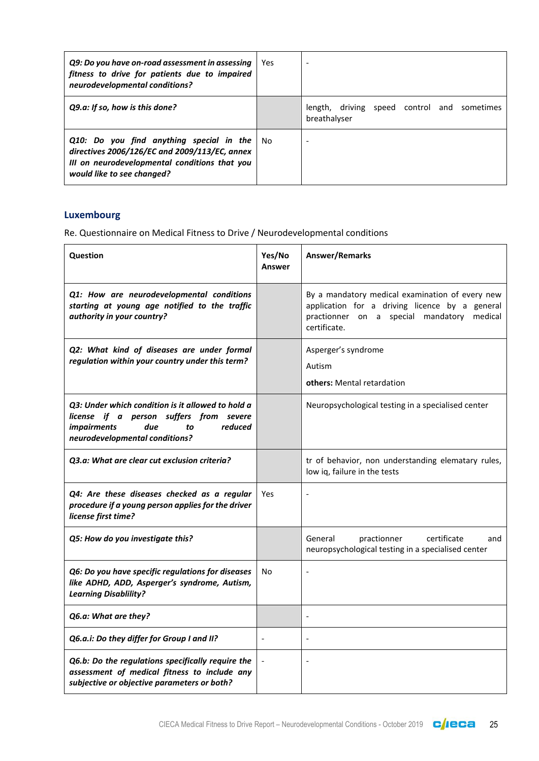| Q9: Do you have on-road assessment in assessing<br>fitness to drive for patients due to impaired<br>neurodevelopmental conditions?                                          | Yes  |                                                             |
|-----------------------------------------------------------------------------------------------------------------------------------------------------------------------------|------|-------------------------------------------------------------|
| Q9.a: If so, how is this done?                                                                                                                                              |      | length, driving speed control and sometimes<br>breathalyser |
| $Q10$ : Do you find anything special in the<br>directives 2006/126/EC and 2009/113/EC, annex<br>III on neurodevelopmental conditions that you<br>would like to see changed? | l No |                                                             |

## **Luxembourg**

| <b>Question</b>                                                                                                                                                              | Yes/No<br>Answer | <b>Answer/Remarks</b>                                                                                                                                              |
|------------------------------------------------------------------------------------------------------------------------------------------------------------------------------|------------------|--------------------------------------------------------------------------------------------------------------------------------------------------------------------|
| Q1: How are neurodevelopmental conditions<br>starting at young age notified to the traffic<br>authority in your country?                                                     |                  | By a mandatory medical examination of every new<br>application for a driving licence by a general<br>practionner on a special mandatory<br>medical<br>certificate. |
| Q2: What kind of diseases are under formal<br>regulation within your country under this term?                                                                                |                  | Asperger's syndrome<br>Autism<br>others: Mental retardation                                                                                                        |
| O3: Under which condition is it allowed to hold a<br>license if a person suffers from severe<br><i>impairments</i><br>due<br>reduced<br>to<br>neurodevelopmental conditions? |                  | Neuropsychological testing in a specialised center                                                                                                                 |
| O3.a: What are clear cut exclusion criteria?                                                                                                                                 |                  | tr of behavior, non understanding elematary rules,<br>low iq, failure in the tests                                                                                 |
| Q4: Are these diseases checked as a regular<br>procedure if a young person applies for the driver<br>license first time?                                                     | Yes              | $\overline{a}$                                                                                                                                                     |
| Q5: How do you investigate this?                                                                                                                                             |                  | General<br>certificate<br>practionner<br>and<br>neuropsychological testing in a specialised center                                                                 |
| Q6: Do you have specific regulations for diseases<br>like ADHD, ADD, Asperger's syndrome, Autism,<br><b>Learning Disablility?</b>                                            | No               | $\overline{\phantom{a}}$                                                                                                                                           |
| Q6.a: What are they?                                                                                                                                                         |                  | $\overline{\phantom{a}}$                                                                                                                                           |
| Q6.a.i: Do they differ for Group I and II?                                                                                                                                   |                  |                                                                                                                                                                    |
| Q6.b: Do the regulations specifically require the<br>assessment of medical fitness to include any<br>subjective or objective parameters or both?                             |                  | $\overline{\phantom{a}}$                                                                                                                                           |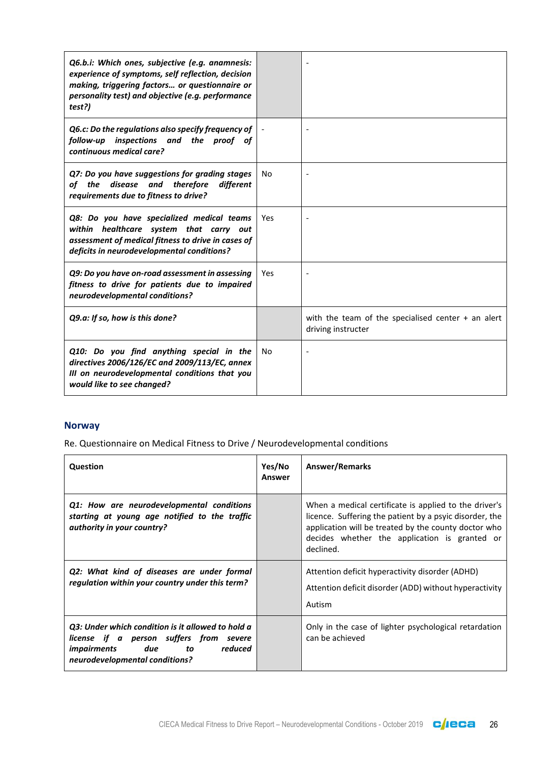| Q6.b.i: Which ones, subjective (e.g. anamnesis:<br>experience of symptoms, self reflection, decision<br>making, triggering factors or questionnaire or<br>personality test) and objective (e.g. performance<br>test?) |     |                                                                            |
|-----------------------------------------------------------------------------------------------------------------------------------------------------------------------------------------------------------------------|-----|----------------------------------------------------------------------------|
| Q6.c: Do the regulations also specify frequency of<br>follow-up inspections and the proof of<br>continuous medical care?                                                                                              |     |                                                                            |
| Q7: Do you have suggestions for grading stages<br>disease and therefore<br>of the<br>different<br>requirements due to fitness to drive?                                                                               | No  |                                                                            |
| Q8: Do you have specialized medical teams<br>within healthcare system that carry out<br>assessment of medical fitness to drive in cases of<br>deficits in neurodevelopmental conditions?                              | Yes |                                                                            |
| Q9: Do you have on-road assessment in assessing<br>fitness to drive for patients due to impaired<br>neurodevelopmental conditions?                                                                                    | Yes |                                                                            |
| Q9.a: If so, how is this done?                                                                                                                                                                                        |     | with the team of the specialised center $+$ an alert<br>driving instructer |
| Q10: Do you find anything special in the<br>directives 2006/126/EC and 2009/113/EC, annex<br>III on neurodevelopmental conditions that you<br>would like to see changed?                                              | No  |                                                                            |

## **Norway**

| Question                                                                                                                                                               | Yes/No<br>Answer | <b>Answer/Remarks</b>                                                                                                                                                                                                                  |
|------------------------------------------------------------------------------------------------------------------------------------------------------------------------|------------------|----------------------------------------------------------------------------------------------------------------------------------------------------------------------------------------------------------------------------------------|
| Q1: How are neurodevelopmental conditions<br>starting at young age notified to the traffic<br>authority in your country?                                               |                  | When a medical certificate is applied to the driver's<br>licence. Suffering the patient by a psyic disorder, the<br>application will be treated by the county doctor who<br>decides whether the application is granted or<br>declined. |
| Q2: What kind of diseases are under formal<br>regulation within your country under this term?                                                                          |                  | Attention deficit hyperactivity disorder (ADHD)<br>Attention deficit disorder (ADD) without hyperactivity<br>Autism                                                                                                                    |
| Q3: Under which condition is it allowed to hold a<br>license if a person suffers from severe<br><i>impairments</i> due to<br>reduced<br>neurodevelopmental conditions? |                  | Only in the case of lighter psychological retardation<br>can be achieved                                                                                                                                                               |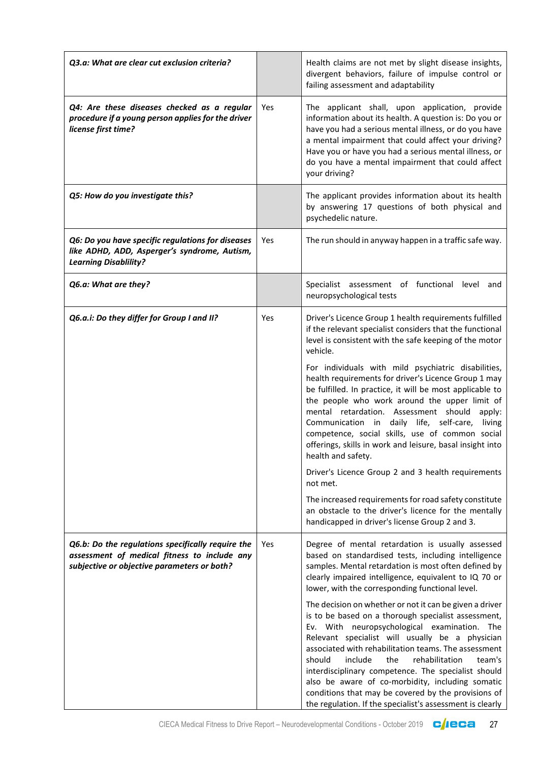| Q3.a: What are clear cut exclusion criteria?                                                                                                     |     | Health claims are not met by slight disease insights,<br>divergent behaviors, failure of impulse control or<br>failing assessment and adaptability                                                                                                                                                                                                                                                                                                                                                                                                               |
|--------------------------------------------------------------------------------------------------------------------------------------------------|-----|------------------------------------------------------------------------------------------------------------------------------------------------------------------------------------------------------------------------------------------------------------------------------------------------------------------------------------------------------------------------------------------------------------------------------------------------------------------------------------------------------------------------------------------------------------------|
| Q4: Are these diseases checked as a regular<br>procedure if a young person applies for the driver<br>license first time?                         | Yes | The applicant shall, upon application, provide<br>information about its health. A question is: Do you or<br>have you had a serious mental illness, or do you have<br>a mental impairment that could affect your driving?<br>Have you or have you had a serious mental illness, or<br>do you have a mental impairment that could affect<br>your driving?                                                                                                                                                                                                          |
| Q5: How do you investigate this?                                                                                                                 |     | The applicant provides information about its health<br>by answering 17 questions of both physical and<br>psychedelic nature.                                                                                                                                                                                                                                                                                                                                                                                                                                     |
| Q6: Do you have specific regulations for diseases<br>like ADHD, ADD, Asperger's syndrome, Autism,<br><b>Learning Disablility?</b>                | Yes | The run should in anyway happen in a traffic safe way.                                                                                                                                                                                                                                                                                                                                                                                                                                                                                                           |
| Q6.a: What are they?                                                                                                                             |     | Specialist assessment of functional level<br>and<br>neuropsychological tests                                                                                                                                                                                                                                                                                                                                                                                                                                                                                     |
| Q6.a.i: Do they differ for Group I and II?                                                                                                       | Yes | Driver's Licence Group 1 health requirements fulfilled<br>if the relevant specialist considers that the functional<br>level is consistent with the safe keeping of the motor<br>vehicle.                                                                                                                                                                                                                                                                                                                                                                         |
|                                                                                                                                                  |     | For individuals with mild psychiatric disabilities,<br>health requirements for driver's Licence Group 1 may<br>be fulfilled. In practice, it will be most applicable to<br>the people who work around the upper limit of<br>mental retardation. Assessment should<br>apply:<br>Communication in daily life, self-care,<br>living<br>competence, social skills, use of common social<br>offerings, skills in work and leisure, basal insight into<br>health and safety.                                                                                           |
|                                                                                                                                                  |     | Driver's Licence Group 2 and 3 health requirements<br>not met.                                                                                                                                                                                                                                                                                                                                                                                                                                                                                                   |
|                                                                                                                                                  |     | The increased requirements for road safety constitute<br>an obstacle to the driver's licence for the mentally<br>handicapped in driver's license Group 2 and 3.                                                                                                                                                                                                                                                                                                                                                                                                  |
| Q6.b: Do the regulations specifically require the<br>assessment of medical fitness to include any<br>subjective or objective parameters or both? | Yes | Degree of mental retardation is usually assessed<br>based on standardised tests, including intelligence<br>samples. Mental retardation is most often defined by<br>clearly impaired intelligence, equivalent to IQ 70 or<br>lower, with the corresponding functional level.                                                                                                                                                                                                                                                                                      |
|                                                                                                                                                  |     | The decision on whether or not it can be given a driver<br>is to be based on a thorough specialist assessment,<br>Ev. With neuropsychological examination. The<br>Relevant specialist will usually be a physician<br>associated with rehabilitation teams. The assessment<br>include<br>the<br>rehabilitation<br>should<br>team's<br>interdisciplinary competence. The specialist should<br>also be aware of co-morbidity, including somatic<br>conditions that may be covered by the provisions of<br>the regulation. If the specialist's assessment is clearly |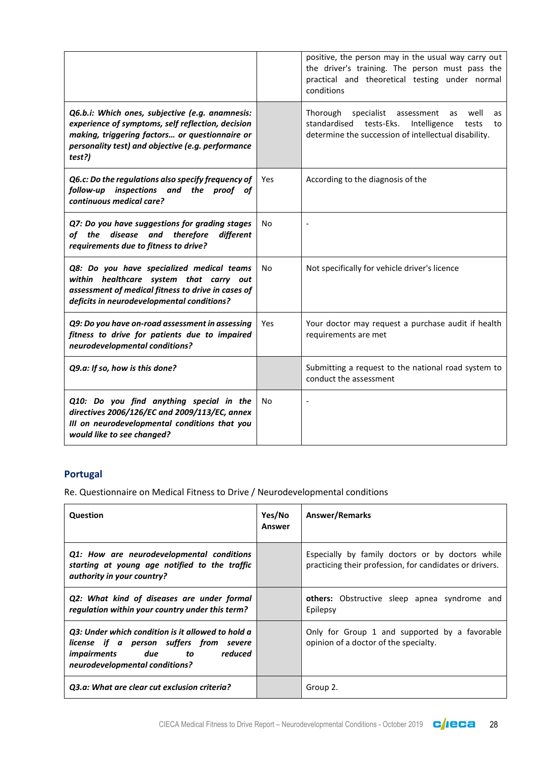|                                                                                                                                                                                                                       |     | positive, the person may in the usual way carry out<br>the driver's training. The person must pass the<br>practical and theoretical testing under normal<br>conditions  |
|-----------------------------------------------------------------------------------------------------------------------------------------------------------------------------------------------------------------------|-----|-------------------------------------------------------------------------------------------------------------------------------------------------------------------------|
| Q6.b.i: Which ones, subjective (e.g. anamnesis:<br>experience of symptoms, self reflection, decision<br>making, triggering factors or questionnaire or<br>personality test) and objective (e.g. performance<br>test?) |     | Thorough specialist assessment<br>well<br>as<br>as<br>standardised<br>tests-Eks.<br>Intelligence<br>tests<br>to<br>determine the succession of intellectual disability. |
| Q6.c: Do the regulations also specify frequency of<br>follow-up inspections and the proof of<br>continuous medical care?                                                                                              | Yes | According to the diagnosis of the                                                                                                                                       |
| Q7: Do you have suggestions for grading stages<br>of the disease and therefore<br>different<br>requirements due to fitness to drive?                                                                                  | No  |                                                                                                                                                                         |
| Q8: Do you have specialized medical teams<br>within healthcare system that carry out<br>assessment of medical fitness to drive in cases of<br>deficits in neurodevelopmental conditions?                              | No  | Not specifically for vehicle driver's licence                                                                                                                           |
| Q9: Do you have on-road assessment in assessing<br>fitness to drive for patients due to impaired<br>neurodevelopmental conditions?                                                                                    | Yes | Your doctor may request a purchase audit if health<br>requirements are met                                                                                              |
| Q9.a: If so, how is this done?                                                                                                                                                                                        |     | Submitting a request to the national road system to<br>conduct the assessment                                                                                           |
| Q10: Do you find anything special in the<br>directives 2006/126/EC and 2009/113/EC, annex<br>III on neurodevelopmental conditions that you<br>would like to see changed?                                              | No  |                                                                                                                                                                         |

# **Portugal**

| Question                                                                                                                                                        | Yes/No<br>Answer | <b>Answer/Remarks</b>                                                                                       |
|-----------------------------------------------------------------------------------------------------------------------------------------------------------------|------------------|-------------------------------------------------------------------------------------------------------------|
| Q1: How are neurodevelopmental conditions<br>starting at young age notified to the traffic<br>authority in your country?                                        |                  | Especially by family doctors or by doctors while<br>practicing their profession, for candidates or drivers. |
| Q2: What kind of diseases are under formal<br>regulation within your country under this term?                                                                   |                  | <b>others:</b> Obstructive sleep apnea syndrome and<br>Epilepsy                                             |
| Q3: Under which condition is it allowed to hold a<br>license if a person suffers from severe<br>impairments due to<br>reduced<br>neurodevelopmental conditions? |                  | Only for Group 1 and supported by a favorable<br>opinion of a doctor of the specialty.                      |
| Q3.a: What are clear cut exclusion criteria?                                                                                                                    |                  | Group 2.                                                                                                    |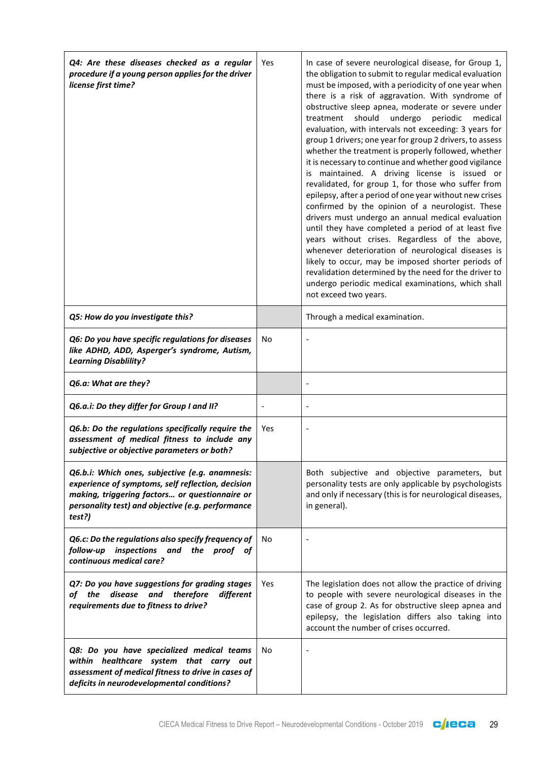| Q4: Are these diseases checked as a regular<br>procedure if a young person applies for the driver<br>license first time?                                                                                              | Yes        | In case of severe neurological disease, for Group 1,<br>the obligation to submit to regular medical evaluation<br>must be imposed, with a periodicity of one year when<br>there is a risk of aggravation. With syndrome of<br>obstructive sleep apnea, moderate or severe under<br>should<br>undergo<br>periodic<br>treatment<br>medical<br>evaluation, with intervals not exceeding: 3 years for<br>group 1 drivers; one year for group 2 drivers, to assess<br>whether the treatment is properly followed, whether<br>it is necessary to continue and whether good vigilance<br>is maintained. A driving license is issued or<br>revalidated, for group 1, for those who suffer from<br>epilepsy, after a period of one year without new crises<br>confirmed by the opinion of a neurologist. These<br>drivers must undergo an annual medical evaluation<br>until they have completed a period of at least five<br>years without crises. Regardless of the above,<br>whenever deterioration of neurological diseases is<br>likely to occur, may be imposed shorter periods of<br>revalidation determined by the need for the driver to<br>undergo periodic medical examinations, which shall<br>not exceed two years. |
|-----------------------------------------------------------------------------------------------------------------------------------------------------------------------------------------------------------------------|------------|-------------------------------------------------------------------------------------------------------------------------------------------------------------------------------------------------------------------------------------------------------------------------------------------------------------------------------------------------------------------------------------------------------------------------------------------------------------------------------------------------------------------------------------------------------------------------------------------------------------------------------------------------------------------------------------------------------------------------------------------------------------------------------------------------------------------------------------------------------------------------------------------------------------------------------------------------------------------------------------------------------------------------------------------------------------------------------------------------------------------------------------------------------------------------------------------------------------------------|
| Q5: How do you investigate this?                                                                                                                                                                                      |            | Through a medical examination.                                                                                                                                                                                                                                                                                                                                                                                                                                                                                                                                                                                                                                                                                                                                                                                                                                                                                                                                                                                                                                                                                                                                                                                          |
| Q6: Do you have specific regulations for diseases<br>like ADHD, ADD, Asperger's syndrome, Autism,<br><b>Learning Disablility?</b>                                                                                     | No         |                                                                                                                                                                                                                                                                                                                                                                                                                                                                                                                                                                                                                                                                                                                                                                                                                                                                                                                                                                                                                                                                                                                                                                                                                         |
| Q6.a: What are they?                                                                                                                                                                                                  |            |                                                                                                                                                                                                                                                                                                                                                                                                                                                                                                                                                                                                                                                                                                                                                                                                                                                                                                                                                                                                                                                                                                                                                                                                                         |
| Q6.a.i: Do they differ for Group I and II?                                                                                                                                                                            |            |                                                                                                                                                                                                                                                                                                                                                                                                                                                                                                                                                                                                                                                                                                                                                                                                                                                                                                                                                                                                                                                                                                                                                                                                                         |
| Q6.b: Do the regulations specifically require the<br>assessment of medical fitness to include any<br>subjective or objective parameters or both?                                                                      | <b>Yes</b> |                                                                                                                                                                                                                                                                                                                                                                                                                                                                                                                                                                                                                                                                                                                                                                                                                                                                                                                                                                                                                                                                                                                                                                                                                         |
| Q6.b.i: Which ones, subjective (e.g. anamnesis:<br>experience of symptoms, self reflection, decision<br>making, triggering factors or questionnaire or<br>personality test) and objective (e.g. performance<br>test?) |            | Both subjective and objective parameters, but<br>personality tests are only applicable by psychologists<br>and only if necessary (this is for neurological diseases,<br>in general).                                                                                                                                                                                                                                                                                                                                                                                                                                                                                                                                                                                                                                                                                                                                                                                                                                                                                                                                                                                                                                    |
| Q6.c: Do the regulations also specify frequency of<br>follow-up inspections and the proof of<br>continuous medical care?                                                                                              | No         |                                                                                                                                                                                                                                                                                                                                                                                                                                                                                                                                                                                                                                                                                                                                                                                                                                                                                                                                                                                                                                                                                                                                                                                                                         |
| Q7: Do you have suggestions for grading stages<br>disease and<br>therefore<br>different<br>of the<br>requirements due to fitness to drive?                                                                            | <b>Yes</b> | The legislation does not allow the practice of driving<br>to people with severe neurological diseases in the<br>case of group 2. As for obstructive sleep apnea and<br>epilepsy, the legislation differs also taking into<br>account the number of crises occurred.                                                                                                                                                                                                                                                                                                                                                                                                                                                                                                                                                                                                                                                                                                                                                                                                                                                                                                                                                     |
| Q8: Do you have specialized medical teams<br>within healthcare system that carry out<br>assessment of medical fitness to drive in cases of<br>deficits in neurodevelopmental conditions?                              | No         |                                                                                                                                                                                                                                                                                                                                                                                                                                                                                                                                                                                                                                                                                                                                                                                                                                                                                                                                                                                                                                                                                                                                                                                                                         |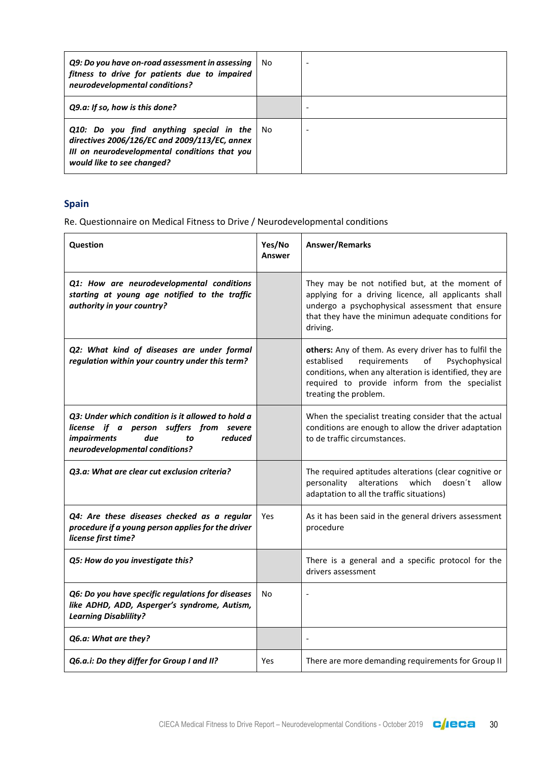| Q9: Do you have on-road assessment in assessing<br>fitness to drive for patients due to impaired<br>neurodevelopmental conditions?                                       | No.  |  |
|--------------------------------------------------------------------------------------------------------------------------------------------------------------------------|------|--|
| Q9.a: If so, how is this done?                                                                                                                                           |      |  |
| Q10: Do you find anything special in the<br>directives 2006/126/EC and 2009/113/EC, annex<br>III on neurodevelopmental conditions that you<br>would like to see changed? | - No |  |

## **Spain**

| Question                                                                                                                                                                     | Yes/No<br>Answer | Answer/Remarks                                                                                                                                                                                                                                     |
|------------------------------------------------------------------------------------------------------------------------------------------------------------------------------|------------------|----------------------------------------------------------------------------------------------------------------------------------------------------------------------------------------------------------------------------------------------------|
| Q1: How are neurodevelopmental conditions<br>starting at young age notified to the traffic<br>authority in your country?                                                     |                  | They may be not notified but, at the moment of<br>applying for a driving licence, all applicants shall<br>undergo a psychophysical assessment that ensure<br>that they have the minimun adequate conditions for<br>driving.                        |
| Q2: What kind of diseases are under formal<br>regulation within your country under this term?                                                                                |                  | others: Any of them. As every driver has to fulfil the<br>requirements<br>of<br>Psychophysical<br>establised<br>conditions, when any alteration is identified, they are<br>required to provide inform from the specialist<br>treating the problem. |
| Q3: Under which condition is it allowed to hold a<br>license if a person suffers from severe<br><i>impairments</i><br>reduced<br>due<br>to<br>neurodevelopmental conditions? |                  | When the specialist treating consider that the actual<br>conditions are enough to allow the driver adaptation<br>to de traffic circumstances.                                                                                                      |
| Q3.a: What are clear cut exclusion criteria?                                                                                                                                 |                  | The required aptitudes alterations (clear cognitive or<br>alterations<br>which<br>personality<br>doesn't<br>allow<br>adaptation to all the traffic situations)                                                                                     |
| Q4: Are these diseases checked as a regular<br>procedure if a young person applies for the driver<br>license first time?                                                     | Yes              | As it has been said in the general drivers assessment<br>procedure                                                                                                                                                                                 |
| Q5: How do you investigate this?                                                                                                                                             |                  | There is a general and a specific protocol for the<br>drivers assessment                                                                                                                                                                           |
| Q6: Do you have specific regulations for diseases<br>like ADHD, ADD, Asperger's syndrome, Autism,<br><b>Learning Disablility?</b>                                            | No               |                                                                                                                                                                                                                                                    |
| Q6.a: What are they?                                                                                                                                                         |                  |                                                                                                                                                                                                                                                    |
| Q6.a.i: Do they differ for Group I and II?                                                                                                                                   | Yes              | There are more demanding requirements for Group II                                                                                                                                                                                                 |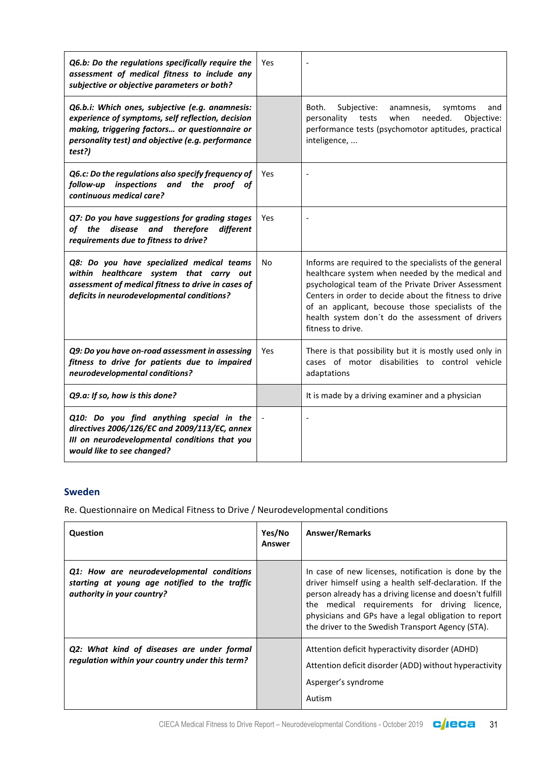| Q6.b: Do the regulations specifically require the<br>assessment of medical fitness to include any<br>subjective or objective parameters or both?                                                                      | Yes |                                                                                                                                                                                                                                                                                                                                                          |
|-----------------------------------------------------------------------------------------------------------------------------------------------------------------------------------------------------------------------|-----|----------------------------------------------------------------------------------------------------------------------------------------------------------------------------------------------------------------------------------------------------------------------------------------------------------------------------------------------------------|
| Q6.b.i: Which ones, subjective (e.g. anamnesis:<br>experience of symptoms, self reflection, decision<br>making, triggering factors or questionnaire or<br>personality test) and objective (e.g. performance<br>test?) |     | Both.<br>Subjective:<br>anamnesis,<br>symtoms<br>and<br>when<br>needed.<br>Objective:<br>personality<br>tests<br>performance tests (psychomotor aptitudes, practical<br>inteligence,                                                                                                                                                                     |
| Q6.c: Do the regulations also specify frequency of<br>inspections and the proof of<br>follow-up<br>continuous medical care?                                                                                           | Yes |                                                                                                                                                                                                                                                                                                                                                          |
| Q7: Do you have suggestions for grading stages<br>of the<br>disease<br>and<br>therefore<br>different<br>requirements due to fitness to drive?                                                                         | Yes |                                                                                                                                                                                                                                                                                                                                                          |
| Q8: Do you have specialized medical teams<br>within healthcare system that carry out<br>assessment of medical fitness to drive in cases of<br>deficits in neurodevelopmental conditions?                              | No  | Informs are required to the specialists of the general<br>healthcare system when needed by the medical and<br>psychological team of the Private Driver Assessment<br>Centers in order to decide about the fitness to drive<br>of an applicant, becouse those specialists of the<br>health system don't do the assessment of drivers<br>fitness to drive. |
| Q9: Do you have on-road assessment in assessing<br>fitness to drive for patients due to impaired<br>neurodevelopmental conditions?                                                                                    | Yes | There is that possibility but it is mostly used only in<br>cases of motor disabilities to control vehicle<br>adaptations                                                                                                                                                                                                                                 |
| Q9.a: If so, how is this done?                                                                                                                                                                                        |     | It is made by a driving examiner and a physician                                                                                                                                                                                                                                                                                                         |
| Q10: Do you find anything special in the<br>directives 2006/126/EC and 2009/113/EC, annex<br>III on neurodevelopmental conditions that you<br>would like to see changed?                                              |     |                                                                                                                                                                                                                                                                                                                                                          |

## **Sweden**

| Question                                                                                                                 | Yes/No<br>Answer | <b>Answer/Remarks</b>                                                                                                                                                                                                                                                                                                                    |
|--------------------------------------------------------------------------------------------------------------------------|------------------|------------------------------------------------------------------------------------------------------------------------------------------------------------------------------------------------------------------------------------------------------------------------------------------------------------------------------------------|
| Q1: How are neurodevelopmental conditions<br>starting at young age notified to the traffic<br>authority in your country? |                  | In case of new licenses, notification is done by the<br>driver himself using a health self-declaration. If the<br>person already has a driving license and doesn't fulfill<br>the medical requirements for driving licence,<br>physicians and GPs have a legal obligation to report<br>the driver to the Swedish Transport Agency (STA). |
| Q2: What kind of diseases are under formal<br>regulation within your country under this term?                            |                  | Attention deficit hyperactivity disorder (ADHD)<br>Attention deficit disorder (ADD) without hyperactivity<br>Asperger's syndrome<br>Autism                                                                                                                                                                                               |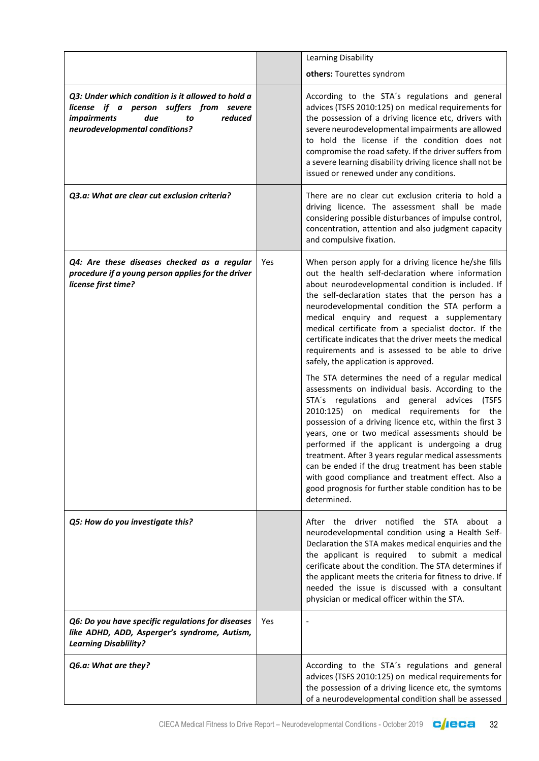|                                                                                                                                                                              |     | Learning Disability                                                                                                                                                                                                                                                                                                                                                                                                                                                                                                                                                                                                                                                                                                                                                                                                                                                                                                                                                                                                                                                           |
|------------------------------------------------------------------------------------------------------------------------------------------------------------------------------|-----|-------------------------------------------------------------------------------------------------------------------------------------------------------------------------------------------------------------------------------------------------------------------------------------------------------------------------------------------------------------------------------------------------------------------------------------------------------------------------------------------------------------------------------------------------------------------------------------------------------------------------------------------------------------------------------------------------------------------------------------------------------------------------------------------------------------------------------------------------------------------------------------------------------------------------------------------------------------------------------------------------------------------------------------------------------------------------------|
|                                                                                                                                                                              |     | others: Tourettes syndrom                                                                                                                                                                                                                                                                                                                                                                                                                                                                                                                                                                                                                                                                                                                                                                                                                                                                                                                                                                                                                                                     |
| Q3: Under which condition is it allowed to hold a<br>license if a person suffers from severe<br><i>impairments</i><br>due<br>reduced<br>to<br>neurodevelopmental conditions? |     | According to the STA's regulations and general<br>advices (TSFS 2010:125) on medical requirements for<br>the possession of a driving licence etc, drivers with<br>severe neurodevelopmental impairments are allowed<br>to hold the license if the condition does not<br>compromise the road safety. If the driver suffers from<br>a severe learning disability driving licence shall not be<br>issued or renewed under any conditions.                                                                                                                                                                                                                                                                                                                                                                                                                                                                                                                                                                                                                                        |
| Q3.a: What are clear cut exclusion criteria?                                                                                                                                 |     | There are no clear cut exclusion criteria to hold a<br>driving licence. The assessment shall be made<br>considering possible disturbances of impulse control,<br>concentration, attention and also judgment capacity<br>and compulsive fixation.                                                                                                                                                                                                                                                                                                                                                                                                                                                                                                                                                                                                                                                                                                                                                                                                                              |
| Q4: Are these diseases checked as a regular<br>procedure if a young person applies for the driver<br>license first time?                                                     | Yes | When person apply for a driving licence he/she fills<br>out the health self-declaration where information<br>about neurodevelopmental condition is included. If<br>the self-declaration states that the person has a<br>neurodevelopmental condition the STA perform a<br>medical enquiry and request a supplementary<br>medical certificate from a specialist doctor. If the<br>certificate indicates that the driver meets the medical<br>requirements and is assessed to be able to drive<br>safely, the application is approved.<br>The STA determines the need of a regular medical<br>assessments on individual basis. According to the<br>STA's regulations and general advices (TSFS<br>2010:125) on medical requirements for the<br>possession of a driving licence etc, within the first 3<br>years, one or two medical assessments should be<br>performed if the applicant is undergoing a drug<br>treatment. After 3 years regular medical assessments<br>can be ended if the drug treatment has been stable<br>with good compliance and treatment effect. Also a |
|                                                                                                                                                                              |     | good prognosis for further stable condition has to be<br>determined.                                                                                                                                                                                                                                                                                                                                                                                                                                                                                                                                                                                                                                                                                                                                                                                                                                                                                                                                                                                                          |
| Q5: How do you investigate this?                                                                                                                                             |     | After the driver notified<br>the STA about a<br>neurodevelopmental condition using a Health Self-<br>Declaration the STA makes medical enquiries and the<br>the applicant is required<br>to submit a medical<br>cerificate about the condition. The STA determines if<br>the applicant meets the criteria for fitness to drive. If<br>needed the issue is discussed with a consultant<br>physician or medical officer within the STA.                                                                                                                                                                                                                                                                                                                                                                                                                                                                                                                                                                                                                                         |
| Q6: Do you have specific regulations for diseases<br>like ADHD, ADD, Asperger's syndrome, Autism,<br><b>Learning Disablility?</b>                                            | Yes |                                                                                                                                                                                                                                                                                                                                                                                                                                                                                                                                                                                                                                                                                                                                                                                                                                                                                                                                                                                                                                                                               |
| Q6.a: What are they?                                                                                                                                                         |     | According to the STA's regulations and general<br>advices (TSFS 2010:125) on medical requirements for<br>the possession of a driving licence etc, the symtoms<br>of a neurodevelopmental condition shall be assessed                                                                                                                                                                                                                                                                                                                                                                                                                                                                                                                                                                                                                                                                                                                                                                                                                                                          |